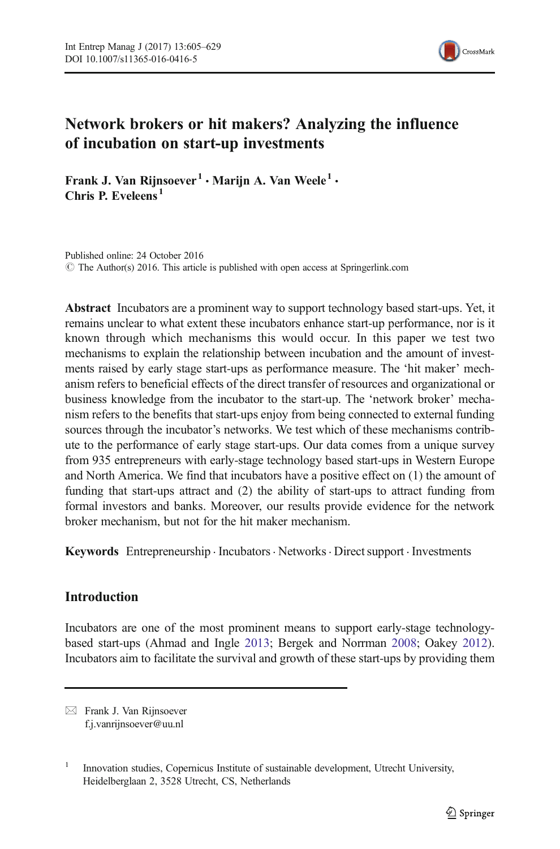

# Network brokers or hit makers? Analyzing the influence of incubation on start-up investments

Frank J. Van Rijnsoever<sup>1</sup> • Marijn A. Van Weele<sup>1</sup> • Chris P. Eveleens<sup>1</sup>

Published online: 24 October 2016  $\odot$  The Author(s) 2016. This article is published with open access at Springerlink.com

Abstract Incubators are a prominent way to support technology based start-ups. Yet, it remains unclear to what extent these incubators enhance start-up performance, nor is it known through which mechanisms this would occur. In this paper we test two mechanisms to explain the relationship between incubation and the amount of investments raised by early stage start-ups as performance measure. The 'hit maker' mechanism refers to beneficial effects of the direct transfer of resources and organizational or business knowledge from the incubator to the start-up. The 'network broker' mechanism refers to the benefits that start-ups enjoy from being connected to external funding sources through the incubator's networks. We test which of these mechanisms contribute to the performance of early stage start-ups. Our data comes from a unique survey from 935 entrepreneurs with early-stage technology based start-ups in Western Europe and North America. We find that incubators have a positive effect on (1) the amount of funding that start-ups attract and (2) the ability of start-ups to attract funding from formal investors and banks. Moreover, our results provide evidence for the network broker mechanism, but not for the hit maker mechanism.

Keywords Entrepreneurship · Incubators · Networks · Direct support · Investments

# Introduction

Incubators are one of the most prominent means to support early-stage technologybased start-ups (Ahmad and Ingle [2013;](#page-21-0) Bergek and Norrman [2008;](#page-21-0) Oakey [2012\)](#page-22-0). Incubators aim to facilitate the survival and growth of these start-ups by providing them

 $\boxtimes$  Frank J. Van Rijnsoever f.j.vanrijnsoever@uu.nl

<sup>1</sup> Innovation studies, Copernicus Institute of sustainable development, Utrecht University, Heidelberglaan 2, 3528 Utrecht, CS, Netherlands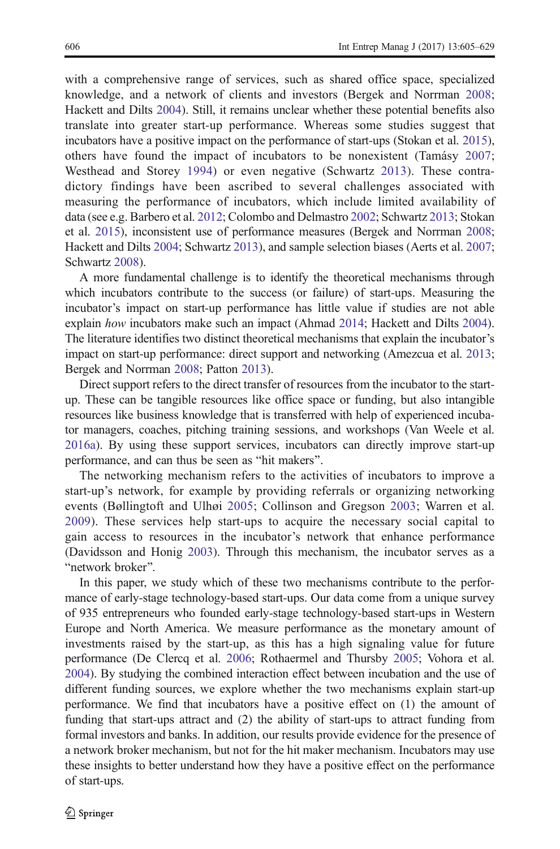with a comprehensive range of services, such as shared office space, specialized knowledge, and a network of clients and investors (Bergek and Norrman [2008;](#page-21-0) Hackett and Dilts [2004](#page-22-0)). Still, it remains unclear whether these potential benefits also translate into greater start-up performance. Whereas some studies suggest that incubators have a positive impact on the performance of start-ups (Stokan et al. [2015\)](#page-23-0), others have found the impact of incubators to be nonexistent (Tamásy [2007;](#page-23-0) Westhead and Storey [1994](#page-24-0)) or even negative (Schwartz [2013](#page-23-0)). These contradictory findings have been ascribed to several challenges associated with measuring the performance of incubators, which include limited availability of data (see e.g. Barbero et al. [2012;](#page-21-0) Colombo and Delmastro [2002;](#page-21-0) Schwartz [2013;](#page-23-0) Stokan et al. [2015](#page-23-0)), inconsistent use of performance measures (Bergek and Norrman [2008;](#page-21-0) Hackett and Dilts [2004](#page-22-0); Schwartz [2013\)](#page-23-0), and sample selection biases (Aerts et al. [2007;](#page-21-0) Schwartz [2008](#page-23-0)).

A more fundamental challenge is to identify the theoretical mechanisms through which incubators contribute to the success (or failure) of start-ups. Measuring the incubator's impact on start-up performance has little value if studies are not able explain how incubators make such an impact (Ahmad [2014;](#page-21-0) Hackett and Dilts [2004\)](#page-22-0). The literature identifies two distinct theoretical mechanisms that explain the incubator's impact on start-up performance: direct support and networking (Amezcua et al. [2013;](#page-21-0) Bergek and Norrman [2008](#page-21-0); Patton [2013](#page-22-0)).

Direct support refers to the direct transfer of resources from the incubator to the startup. These can be tangible resources like office space or funding, but also intangible resources like business knowledge that is transferred with help of experienced incubator managers, coaches, pitching training sessions, and workshops (Van Weele et al. [2016a](#page-23-0)). By using these support services, incubators can directly improve start-up performance, and can thus be seen as "hit makers".

The networking mechanism refers to the activities of incubators to improve a start-up's network, for example by providing referrals or organizing networking events (Bøllingtoft and Ulhøi [2005;](#page-21-0) Collinson and Gregson [2003;](#page-21-0) Warren et al. [2009](#page-24-0)). These services help start-ups to acquire the necessary social capital to gain access to resources in the incubator's network that enhance performance (Davidsson and Honig [2003](#page-22-0)). Through this mechanism, the incubator serves as a "network broker".

In this paper, we study which of these two mechanisms contribute to the performance of early-stage technology-based start-ups. Our data come from a unique survey of 935 entrepreneurs who founded early-stage technology-based start-ups in Western Europe and North America. We measure performance as the monetary amount of investments raised by the start-up, as this has a high signaling value for future performance (De Clercq et al. [2006](#page-22-0); Rothaermel and Thursby [2005;](#page-23-0) Vohora et al. [2004\)](#page-24-0). By studying the combined interaction effect between incubation and the use of different funding sources, we explore whether the two mechanisms explain start-up performance. We find that incubators have a positive effect on (1) the amount of funding that start-ups attract and (2) the ability of start-ups to attract funding from formal investors and banks. In addition, our results provide evidence for the presence of a network broker mechanism, but not for the hit maker mechanism. Incubators may use these insights to better understand how they have a positive effect on the performance of start-ups.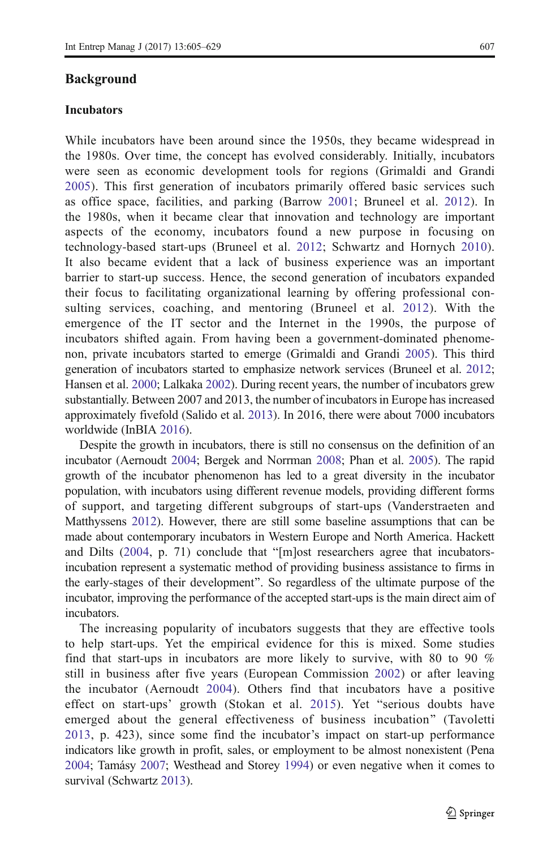#### Background

#### Incubators

While incubators have been around since the 1950s, they became widespread in the 1980s. Over time, the concept has evolved considerably. Initially, incubators were seen as economic development tools for regions (Grimaldi and Grandi [2005](#page-22-0)). This first generation of incubators primarily offered basic services such as office space, facilities, and parking (Barrow [2001;](#page-21-0) Bruneel et al. [2012](#page-21-0)). In the 1980s, when it became clear that innovation and technology are important aspects of the economy, incubators found a new purpose in focusing on technology-based start-ups (Bruneel et al. [2012](#page-21-0); Schwartz and Hornych [2010\)](#page-23-0). It also became evident that a lack of business experience was an important barrier to start-up success. Hence, the second generation of incubators expanded their focus to facilitating organizational learning by offering professional consulting services, coaching, and mentoring (Bruneel et al. [2012](#page-21-0)). With the emergence of the IT sector and the Internet in the 1990s, the purpose of incubators shifted again. From having been a government-dominated phenomenon, private incubators started to emerge (Grimaldi and Grandi [2005\)](#page-22-0). This third generation of incubators started to emphasize network services (Bruneel et al. [2012;](#page-21-0) Hansen et al. [2000;](#page-22-0) Lalkaka [2002](#page-22-0)). During recent years, the number of incubators grew substantially. Between 2007 and 2013, the number of incubators in Europe has increased approximately fivefold (Salido et al. [2013](#page-23-0)). In 2016, there were about 7000 incubators worldwide (InBIA [2016](#page-22-0)).

Despite the growth in incubators, there is still no consensus on the definition of an incubator (Aernoudt [2004](#page-21-0); Bergek and Norrman [2008;](#page-21-0) Phan et al. [2005](#page-23-0)). The rapid growth of the incubator phenomenon has led to a great diversity in the incubator population, with incubators using different revenue models, providing different forms of support, and targeting different subgroups of start-ups (Vanderstraeten and Matthyssens [2012\)](#page-24-0). However, there are still some baseline assumptions that can be made about contemporary incubators in Western Europe and North America. Hackett and Dilts  $(2004, p. 71)$  $(2004, p. 71)$  conclude that "[m]ost researchers agree that incubatorsincubation represent a systematic method of providing business assistance to firms in the early-stages of their development^. So regardless of the ultimate purpose of the incubator, improving the performance of the accepted start-ups is the main direct aim of incubators.

The increasing popularity of incubators suggests that they are effective tools to help start-ups. Yet the empirical evidence for this is mixed. Some studies find that start-ups in incubators are more likely to survive, with 80 to 90 % still in business after five years (European Commission [2002\)](#page-22-0) or after leaving the incubator (Aernoudt [2004\)](#page-21-0). Others find that incubators have a positive effect on start-ups' growth (Stokan et al. [2015](#page-23-0)). Yet "serious doubts have emerged about the general effectiveness of business incubation" (Tavoletti [2013](#page-23-0), p. 423), since some find the incubator's impact on start-up performance indicators like growth in profit, sales, or employment to be almost nonexistent (Pena [2004;](#page-23-0) Tamásy [2007;](#page-23-0) Westhead and Storey [1994\)](#page-24-0) or even negative when it comes to survival (Schwartz [2013\)](#page-23-0).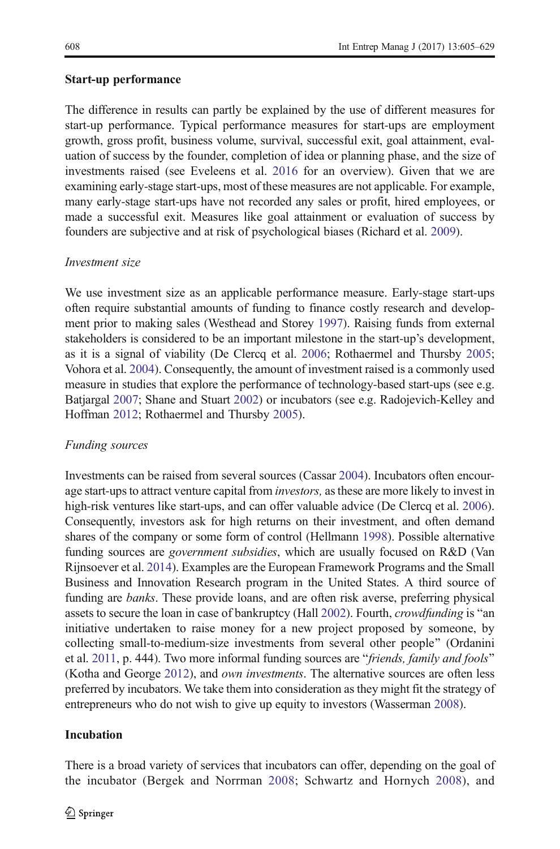## Start-up performance

The difference in results can partly be explained by the use of different measures for start-up performance. Typical performance measures for start-ups are employment growth, gross profit, business volume, survival, successful exit, goal attainment, evaluation of success by the founder, completion of idea or planning phase, and the size of investments raised (see Eveleens et al. [2016](#page-22-0) for an overview). Given that we are examining early-stage start-ups, most of these measures are not applicable. For example, many early-stage start-ups have not recorded any sales or profit, hired employees, or made a successful exit. Measures like goal attainment or evaluation of success by founders are subjective and at risk of psychological biases (Richard et al. [2009\)](#page-23-0).

## Investment size

We use investment size as an applicable performance measure. Early-stage start-ups often require substantial amounts of funding to finance costly research and development prior to making sales (Westhead and Storey [1997](#page-24-0)). Raising funds from external stakeholders is considered to be an important milestone in the start-up's development, as it is a signal of viability (De Clercq et al. [2006](#page-22-0); Rothaermel and Thursby [2005;](#page-23-0) Vohora et al. [2004](#page-24-0)). Consequently, the amount of investment raised is a commonly used measure in studies that explore the performance of technology-based start-ups (see e.g. Batjargal [2007;](#page-21-0) Shane and Stuart [2002](#page-23-0)) or incubators (see e.g. Radojevich-Kelley and Hoffman [2012](#page-23-0); Rothaermel and Thursby [2005\)](#page-23-0).

# Funding sources

Investments can be raised from several sources (Cassar [2004\)](#page-21-0). Incubators often encourage start-ups to attract venture capital from *investors*, as these are more likely to invest in high-risk ventures like start-ups, and can offer valuable advice (De Clercq et al. [2006\)](#page-22-0). Consequently, investors ask for high returns on their investment, and often demand shares of the company or some form of control (Hellmann [1998](#page-22-0)). Possible alternative funding sources are government subsidies, which are usually focused on R&D (Van Rijnsoever et al. [2014\)](#page-23-0). Examples are the European Framework Programs and the Small Business and Innovation Research program in the United States. A third source of funding are banks. These provide loans, and are often risk averse, preferring physical assets to secure the loan in case of bankruptcy (Hall [2002\)](#page-22-0). Fourth, *crowdfunding* is "an initiative undertaken to raise money for a new project proposed by someone, by collecting small-to-medium-size investments from several other people^ (Ordanini et al.  $2011$ , p. 444). Two more informal funding sources are "*friends, family and fools*" (Kotha and George [2012\)](#page-22-0), and own investments. The alternative sources are often less preferred by incubators. We take them into consideration as they might fit the strategy of entrepreneurs who do not wish to give up equity to investors (Wasserman [2008](#page-24-0)).

# Incubation

There is a broad variety of services that incubators can offer, depending on the goal of the incubator (Bergek and Norrman [2008](#page-21-0); Schwartz and Hornych [2008\)](#page-23-0), and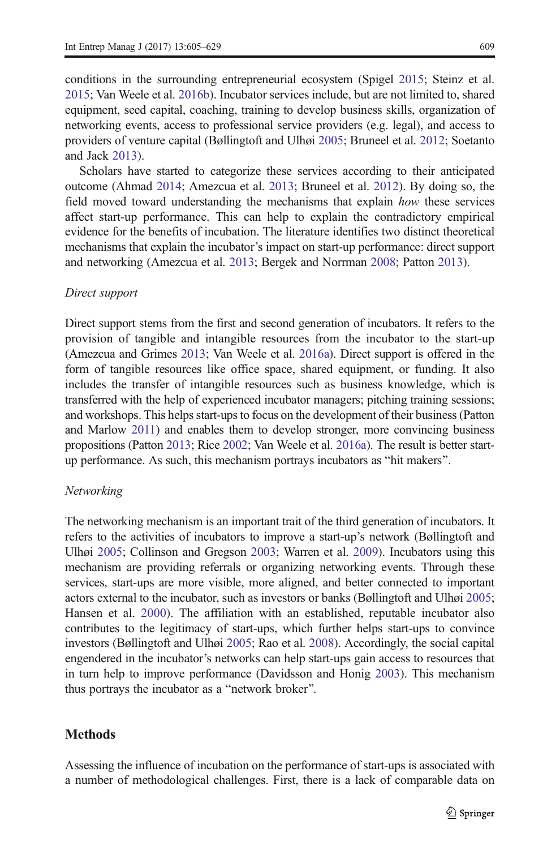conditions in the surrounding entrepreneurial ecosystem (Spigel [2015;](#page-23-0) Steinz et al. [2015;](#page-23-0) Van Weele et al. [2016b\)](#page-24-0). Incubator services include, but are not limited to, shared equipment, seed capital, coaching, training to develop business skills, organization of networking events, access to professional service providers (e.g. legal), and access to providers of venture capital (Bøllingtoft and Ulhøi [2005;](#page-21-0) Bruneel et al. [2012](#page-21-0); Soetanto and Jack [2013\)](#page-23-0).

Scholars have started to categorize these services according to their anticipated outcome (Ahmad [2014;](#page-21-0) Amezcua et al. [2013;](#page-21-0) Bruneel et al. [2012\)](#page-21-0). By doing so, the field moved toward understanding the mechanisms that explain how these services affect start-up performance. This can help to explain the contradictory empirical evidence for the benefits of incubation. The literature identifies two distinct theoretical mechanisms that explain the incubator's impact on start-up performance: direct support and networking (Amezcua et al. [2013;](#page-21-0) Bergek and Norrman [2008;](#page-21-0) Patton [2013](#page-22-0)).

#### Direct support

Direct support stems from the first and second generation of incubators. It refers to the provision of tangible and intangible resources from the incubator to the start-up (Amezcua and Grimes [2013;](#page-21-0) Van Weele et al. [2016a](#page-23-0)). Direct support is offered in the form of tangible resources like office space, shared equipment, or funding. It also includes the transfer of intangible resources such as business knowledge, which is transferred with the help of experienced incubator managers; pitching training sessions; and workshops. This helps start-ups to focus on the development of their business (Patton and Marlow [2011](#page-22-0)) and enables them to develop stronger, more convincing business propositions (Patton [2013;](#page-22-0) Rice [2002](#page-23-0); Van Weele et al. [2016a\)](#page-23-0). The result is better startup performance. As such, this mechanism portrays incubators as "hit makers".

#### Networking

The networking mechanism is an important trait of the third generation of incubators. It refers to the activities of incubators to improve a start-up's network (Bøllingtoft and Ulhøi [2005](#page-21-0); Collinson and Gregson [2003;](#page-21-0) Warren et al. [2009\)](#page-24-0). Incubators using this mechanism are providing referrals or organizing networking events. Through these services, start-ups are more visible, more aligned, and better connected to important actors external to the incubator, such as investors or banks (Bøllingtoft and Ulhøi [2005;](#page-21-0) Hansen et al. [2000\)](#page-22-0). The affiliation with an established, reputable incubator also contributes to the legitimacy of start-ups, which further helps start-ups to convince investors (Bøllingtoft and Ulhøi [2005;](#page-21-0) Rao et al. [2008](#page-23-0)). Accordingly, the social capital engendered in the incubator's networks can help start-ups gain access to resources that in turn help to improve performance (Davidsson and Honig [2003](#page-22-0)). This mechanism thus portrays the incubator as a "network broker".

#### Methods

Assessing the influence of incubation on the performance of start-ups is associated with a number of methodological challenges. First, there is a lack of comparable data on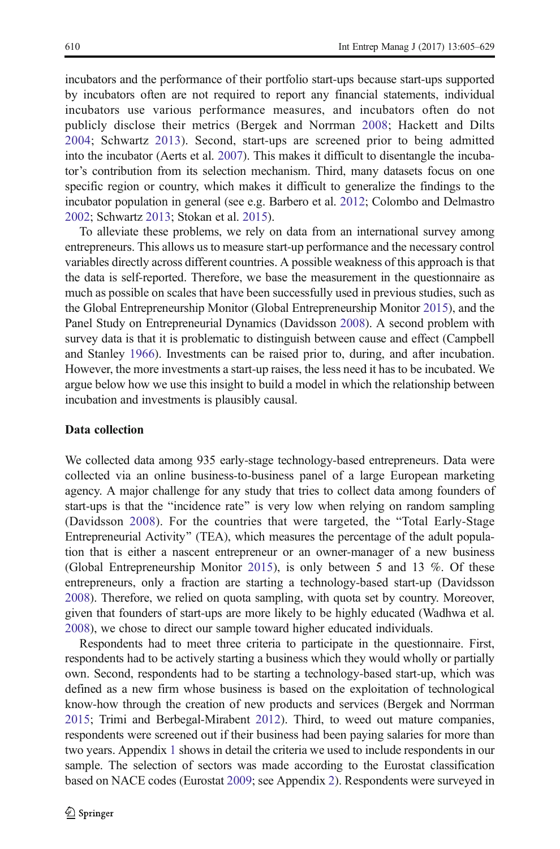incubators and the performance of their portfolio start-ups because start-ups supported by incubators often are not required to report any financial statements, individual incubators use various performance measures, and incubators often do not publicly disclose their metrics (Bergek and Norrman [2008;](#page-21-0) Hackett and Dilts [2004](#page-22-0); Schwartz [2013](#page-23-0)). Second, start-ups are screened prior to being admitted into the incubator (Aerts et al. [2007\)](#page-21-0). This makes it difficult to disentangle the incubator's contribution from its selection mechanism. Third, many datasets focus on one specific region or country, which makes it difficult to generalize the findings to the incubator population in general (see e.g. Barbero et al. [2012;](#page-21-0) Colombo and Delmastro [2002;](#page-21-0) Schwartz [2013](#page-23-0); Stokan et al. [2015](#page-23-0)).

To alleviate these problems, we rely on data from an international survey among entrepreneurs. This allows us to measure start-up performance and the necessary control variables directly across different countries. A possible weakness of this approach is that the data is self-reported. Therefore, we base the measurement in the questionnaire as much as possible on scales that have been successfully used in previous studies, such as the Global Entrepreneurship Monitor (Global Entrepreneurship Monitor [2015\)](#page-22-0), and the Panel Study on Entrepreneurial Dynamics (Davidsson [2008\)](#page-22-0). A second problem with survey data is that it is problematic to distinguish between cause and effect (Campbell and Stanley [1966](#page-21-0)). Investments can be raised prior to, during, and after incubation. However, the more investments a start-up raises, the less need it has to be incubated. We argue below how we use this insight to build a model in which the relationship between incubation and investments is plausibly causal.

#### Data collection

We collected data among 935 early-stage technology-based entrepreneurs. Data were collected via an online business-to-business panel of a large European marketing agency. A major challenge for any study that tries to collect data among founders of start-ups is that the "incidence rate" is very low when relying on random sampling (Davidsson [2008](#page-22-0)). For the countries that were targeted, the "Total Early-Stage" Entrepreneurial Activity" (TEA), which measures the percentage of the adult population that is either a nascent entrepreneur or an owner-manager of a new business (Global Entrepreneurship Monitor [2015](#page-22-0)), is only between 5 and 13 %. Of these entrepreneurs, only a fraction are starting a technology-based start-up (Davidsson [2008\)](#page-22-0). Therefore, we relied on quota sampling, with quota set by country. Moreover, given that founders of start-ups are more likely to be highly educated (Wadhwa et al. [2008\)](#page-24-0), we chose to direct our sample toward higher educated individuals.

Respondents had to meet three criteria to participate in the questionnaire. First, respondents had to be actively starting a business which they would wholly or partially own. Second, respondents had to be starting a technology-based start-up, which was defined as a new firm whose business is based on the exploitation of technological know-how through the creation of new products and services (Bergek and Norrman [2015;](#page-21-0) Trimi and Berbegal-Mirabent [2012](#page-23-0)). Third, to weed out mature companies, respondents were screened out if their business had been paying salaries for more than two years. Appendix [1](#page-16-0) shows in detail the criteria we used to include respondents in our sample. The selection of sectors was made according to the Eurostat classification based on NACE codes (Eurostat [2009;](#page-22-0) see Appendix [2\)](#page-19-0). Respondents were surveyed in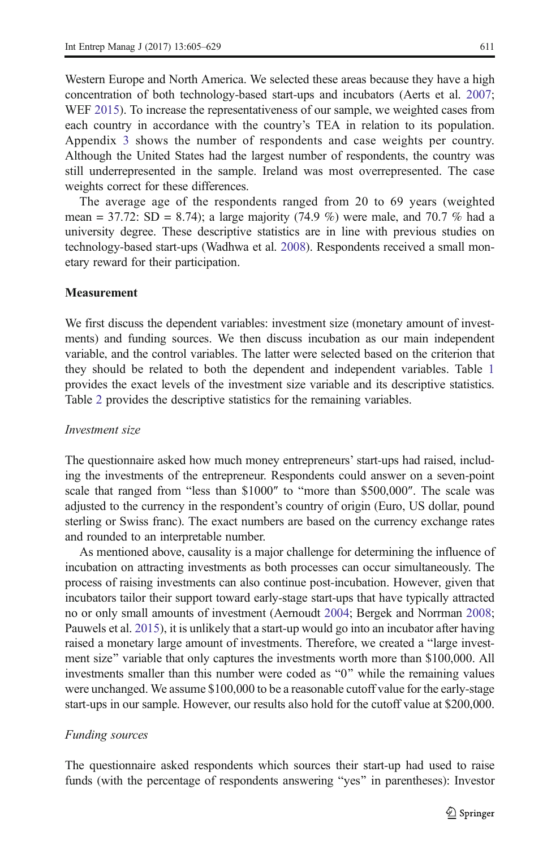Western Europe and North America. We selected these areas because they have a high concentration of both technology-based start-ups and incubators (Aerts et al. [2007;](#page-21-0) WEF [2015\)](#page-24-0). To increase the representativeness of our sample, we weighted cases from each country in accordance with the country's TEA in relation to its population. Appendix [3](#page-20-0) shows the number of respondents and case weights per country. Although the United States had the largest number of respondents, the country was still underrepresented in the sample. Ireland was most overrepresented. The case weights correct for these differences.

The average age of the respondents ranged from 20 to 69 years (weighted mean = 37.72: SD = 8.74); a large majority  $(74.9\%)$  were male, and 70.7 % had a university degree. These descriptive statistics are in line with previous studies on technology-based start-ups (Wadhwa et al. [2008\)](#page-24-0). Respondents received a small monetary reward for their participation.

#### Measurement

We first discuss the dependent variables: investment size (monetary amount of investments) and funding sources. We then discuss incubation as our main independent variable, and the control variables. The latter were selected based on the criterion that they should be related to both the dependent and independent variables. Table [1](#page-7-0) provides the exact levels of the investment size variable and its descriptive statistics. Table [2](#page-8-0) provides the descriptive statistics for the remaining variables.

#### Investment size

The questionnaire asked how much money entrepreneurs' start-ups had raised, including the investments of the entrepreneur. Respondents could answer on a seven-point scale that ranged from "less than \$1000" to "more than \$500,000". The scale was adjusted to the currency in the respondent's country of origin (Euro, US dollar, pound sterling or Swiss franc). The exact numbers are based on the currency exchange rates and rounded to an interpretable number.

As mentioned above, causality is a major challenge for determining the influence of incubation on attracting investments as both processes can occur simultaneously. The process of raising investments can also continue post-incubation. However, given that incubators tailor their support toward early-stage start-ups that have typically attracted no or only small amounts of investment (Aernoudt [2004](#page-21-0); Bergek and Norrman [2008;](#page-21-0) Pauwels et al. [2015](#page-23-0)), it is unlikely that a start-up would go into an incubator after having raised a monetary large amount of investments. Therefore, we created a "large investment size" variable that only captures the investments worth more than \$100,000. All investments smaller than this number were coded as "0" while the remaining values were unchanged. We assume \$100,000 to be a reasonable cutoff value for the early-stage start-ups in our sample. However, our results also hold for the cutoff value at \$200,000.

#### Funding sources

The questionnaire asked respondents which sources their start-up had used to raise funds (with the percentage of respondents answering "yes" in parentheses): Investor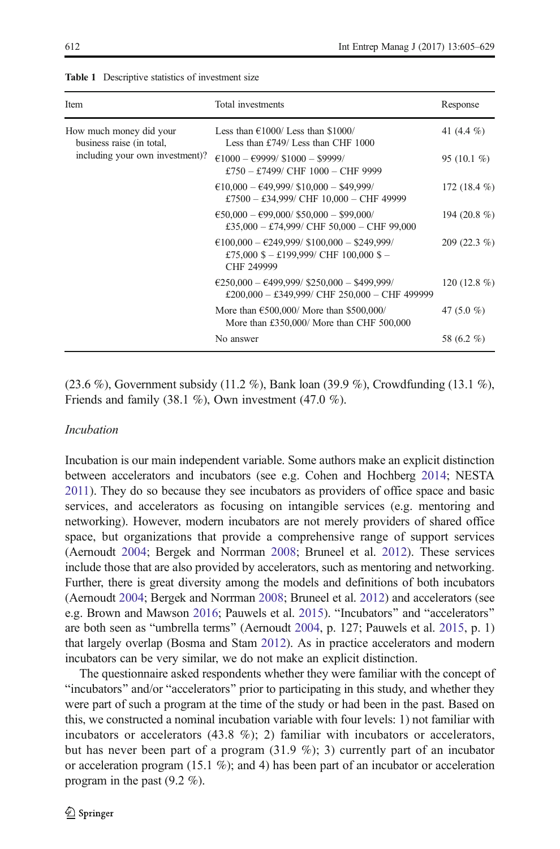| Item                                                 | Total investments                                                                                                                  | Response      |
|------------------------------------------------------|------------------------------------------------------------------------------------------------------------------------------------|---------------|
| How much money did your<br>business raise (in total, | Less than $\epsilon$ 1000/Less than \$1000/<br>Less than £749/ Less than CHF 1000                                                  | 41 $(4.4\%$   |
| including your own investment)?                      | $\text{\e}1000 - \text{\e}9999/ \text{\e}1000 - \text{\e}9999/$<br>£750 - £7499/ CHF $1000$ - CHF 9999                             | 95 $(10.1\%)$ |
|                                                      | $£10,000 - £49,999/ $10,000 - $49,999/$<br>£7500 - £34,999/ CHF $10,000$ - CHF 49999                                               | 172 $(18.4\%$ |
|                                                      | $\text{\textsterling}50,000 - \text{\textsterling}99,000/$ \$50,000 - \$99,000/<br>£35,000 - £74,999/ CHF 50,000 - CHF 99,000      | 194 (20.8 %)  |
|                                                      | $£100,000 - £249,999/ $100,000 - $249,999/$<br>£75,000 \$ - £199,999/ CHF 100,000 \$ -<br>CHF 249999                               | $209(22.3\%)$ |
|                                                      | $\text{\textsterling}250,000 - \text{\textsterling}499,999/ $250,000 - $499,999/$<br>£200,000 - £349,999/ CHF 250,000 - CHF 499999 | 120 $(12.8\%$ |
|                                                      | More than $\text{\textsterling}500,000$ / More than \$500,000/<br>More than £350,000/ More than CHF 500,000                        | 47 $(5.0\%$   |
|                                                      | No answer                                                                                                                          | 58 (6.2 %)    |

<span id="page-7-0"></span>Table 1 Descriptive statistics of investment size

(23.6 %), Government subsidy (11.2 %), Bank loan (39.9 %), Crowdfunding (13.1 %), Friends and family  $(38.1 \%)$ , Own investment  $(47.0 \%)$ .

#### Incubation

Incubation is our main independent variable. Some authors make an explicit distinction between accelerators and incubators (see e.g. Cohen and Hochberg [2014](#page-21-0); NESTA [2011](#page-22-0)). They do so because they see incubators as providers of office space and basic services, and accelerators as focusing on intangible services (e.g. mentoring and networking). However, modern incubators are not merely providers of shared office space, but organizations that provide a comprehensive range of support services (Aernoudt [2004](#page-21-0); Bergek and Norrman [2008](#page-21-0); Bruneel et al. [2012\)](#page-21-0). These services include those that are also provided by accelerators, such as mentoring and networking. Further, there is great diversity among the models and definitions of both incubators (Aernoudt [2004;](#page-21-0) Bergek and Norrman [2008;](#page-21-0) Bruneel et al. [2012](#page-21-0)) and accelerators (see e.g. Brown and Mawson [2016](#page-21-0); Pauwels et al. [2015](#page-23-0)). "Incubators" and "accelerators" are both seen as "umbrella terms" (Aernoudt [2004](#page-21-0), p. 127; Pauwels et al. [2015](#page-23-0), p. 1) that largely overlap (Bosma and Stam [2012\)](#page-21-0). As in practice accelerators and modern incubators can be very similar, we do not make an explicit distinction.

The questionnaire asked respondents whether they were familiar with the concept of "incubators" and/or "accelerators" prior to participating in this study, and whether they were part of such a program at the time of the study or had been in the past. Based on this, we constructed a nominal incubation variable with four levels: 1) not familiar with incubators or accelerators  $(43.8 \%)$ ; 2) familiar with incubators or accelerators, but has never been part of a program  $(31.9 \%)$ ; 3) currently part of an incubator or acceleration program (15.1 %); and 4) has been part of an incubator or acceleration program in the past (9.2 %).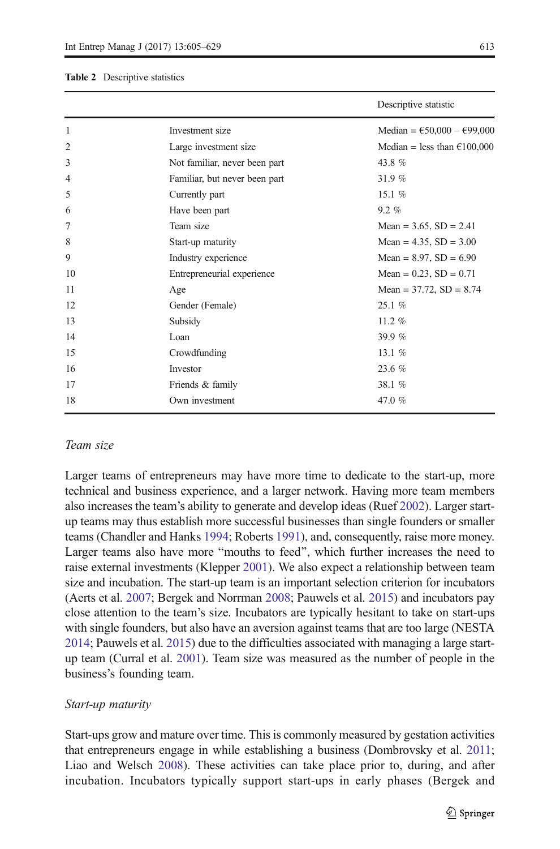#### <span id="page-8-0"></span>Table 2 Descriptive statistics

|                |                               | Descriptive statistic                        |
|----------------|-------------------------------|----------------------------------------------|
| 1              | Investment size               | Median = $\text{\e}50,000 - \text{\e}99,000$ |
| $\overline{2}$ | Large investment size         | Median = less than $\epsilon$ 100,000        |
| 3              | Not familiar, never been part | 43.8%                                        |
| 4              | Familiar, but never been part | 31.9%                                        |
| 5              | Currently part                | 15.1 $%$                                     |
| 6              | Have been part                | $9.2 \%$                                     |
| 7              | Team size                     | Mean = $3.65$ , SD = $2.41$                  |
| 8              | Start-up maturity             | Mean = $4.35$ , SD = $3.00$                  |
| 9              | Industry experience           | Mean = $8.97$ , SD = $6.90$                  |
| 10             | Entrepreneurial experience    | Mean = $0.23$ , SD = $0.71$                  |
| 11             | Age                           | Mean = $37.72$ , SD = $8.74$                 |
| 12             | Gender (Female)               | 25.1 %                                       |
| 13             | Subsidy                       | $11.2 \%$                                    |
| 14             | Loan                          | 39.9 $%$                                     |
| 15             | Crowdfunding                  | 13.1 $%$                                     |
| 16             | Investor                      | 23.6%                                        |
| 17             | Friends & family              | 38.1 %                                       |
| 18             | Own investment                | 47.0%                                        |
|                |                               |                                              |

#### Team size

Larger teams of entrepreneurs may have more time to dedicate to the start-up, more technical and business experience, and a larger network. Having more team members also increases the team's ability to generate and develop ideas (Ruef [2002](#page-23-0)). Larger startup teams may thus establish more successful businesses than single founders or smaller teams (Chandler and Hanks [1994](#page-21-0); Roberts [1991](#page-23-0)), and, consequently, raise more money. Larger teams also have more "mouths to feed", which further increases the need to raise external investments (Klepper [2001](#page-22-0)). We also expect a relationship between team size and incubation. The start-up team is an important selection criterion for incubators (Aerts et al. [2007](#page-21-0); Bergek and Norrman [2008](#page-21-0); Pauwels et al. [2015](#page-23-0)) and incubators pay close attention to the team's size. Incubators are typically hesitant to take on start-ups with single founders, but also have an aversion against teams that are too large (NESTA [2014;](#page-22-0) Pauwels et al. [2015](#page-23-0)) due to the difficulties associated with managing a large startup team (Curral et al. [2001](#page-21-0)). Team size was measured as the number of people in the business's founding team.

#### Start-up maturity

Start-ups grow and mature over time. This is commonly measured by gestation activities that entrepreneurs engage in while establishing a business (Dombrovsky et al. [2011;](#page-22-0) Liao and Welsch [2008\)](#page-22-0). These activities can take place prior to, during, and after incubation. Incubators typically support start-ups in early phases (Bergek and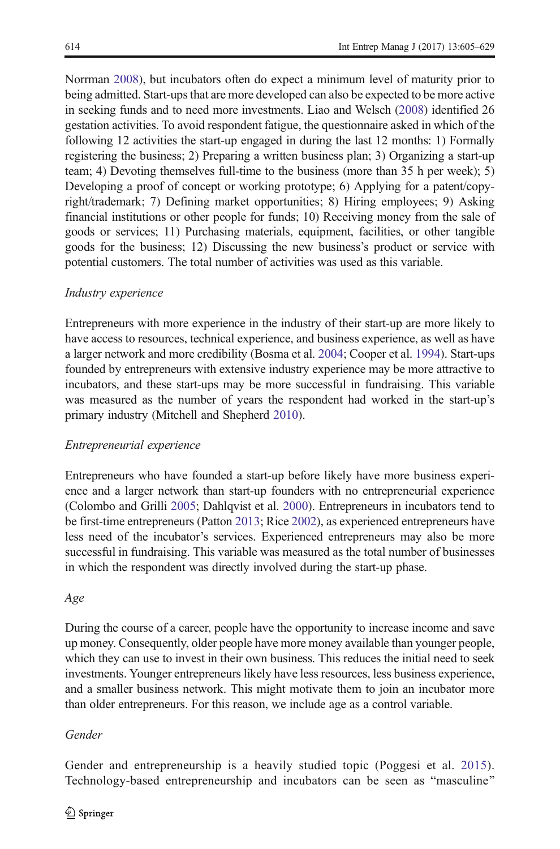Norrman [2008\)](#page-21-0), but incubators often do expect a minimum level of maturity prior to being admitted. Start-ups that are more developed can also be expected to be more active in seeking funds and to need more investments. Liao and Welsch [\(2008\)](#page-22-0) identified 26 gestation activities. To avoid respondent fatigue, the questionnaire asked in which of the following 12 activities the start-up engaged in during the last 12 months: 1) Formally registering the business; 2) Preparing a written business plan; 3) Organizing a start-up team; 4) Devoting themselves full-time to the business (more than 35 h per week); 5) Developing a proof of concept or working prototype; 6) Applying for a patent/copyright/trademark; 7) Defining market opportunities; 8) Hiring employees; 9) Asking financial institutions or other people for funds; 10) Receiving money from the sale of goods or services; 11) Purchasing materials, equipment, facilities, or other tangible goods for the business; 12) Discussing the new business's product or service with potential customers. The total number of activities was used as this variable.

## Industry experience

Entrepreneurs with more experience in the industry of their start-up are more likely to have access to resources, technical experience, and business experience, as well as have a larger network and more credibility (Bosma et al. [2004](#page-21-0); Cooper et al. [1994\)](#page-21-0). Start-ups founded by entrepreneurs with extensive industry experience may be more attractive to incubators, and these start-ups may be more successful in fundraising. This variable was measured as the number of years the respondent had worked in the start-up's primary industry (Mitchell and Shepherd [2010](#page-22-0)).

#### Entrepreneurial experience

Entrepreneurs who have founded a start-up before likely have more business experience and a larger network than start-up founders with no entrepreneurial experience (Colombo and Grilli [2005;](#page-21-0) Dahlqvist et al. [2000\)](#page-22-0). Entrepreneurs in incubators tend to be first-time entrepreneurs (Patton [2013](#page-22-0); Rice [2002](#page-23-0)), as experienced entrepreneurs have less need of the incubator's services. Experienced entrepreneurs may also be more successful in fundraising. This variable was measured as the total number of businesses in which the respondent was directly involved during the start-up phase.

#### Age

During the course of a career, people have the opportunity to increase income and save up money. Consequently, older people have more money available than younger people, which they can use to invest in their own business. This reduces the initial need to seek investments. Younger entrepreneurs likely have less resources, less business experience, and a smaller business network. This might motivate them to join an incubator more than older entrepreneurs. For this reason, we include age as a control variable.

#### Gender

Gender and entrepreneurship is a heavily studied topic (Poggesi et al. [2015](#page-23-0)). Technology-based entrepreneurship and incubators can be seen as "masculine"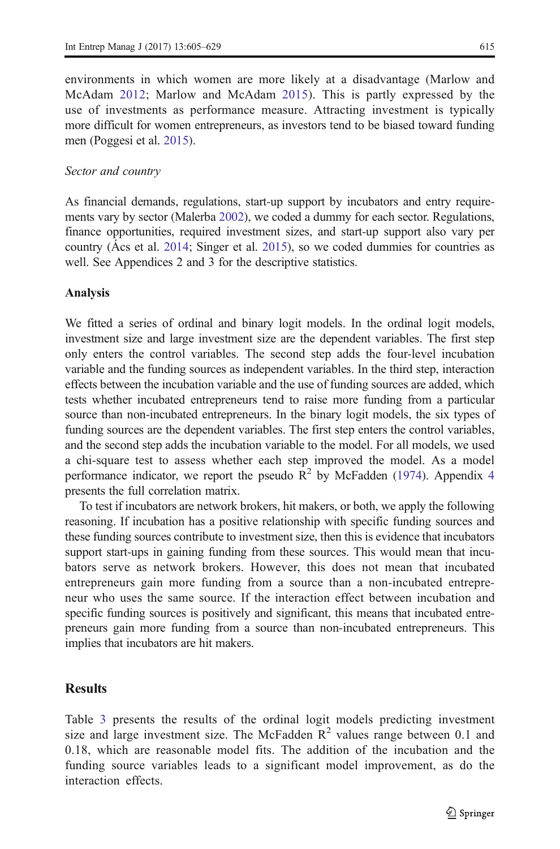environments in which women are more likely at a disadvantage (Marlow and McAdam [2012](#page-22-0); Marlow and McAdam [2015\)](#page-22-0). This is partly expressed by the use of investments as performance measure. Attracting investment is typically more difficult for women entrepreneurs, as investors tend to be biased toward funding men (Poggesi et al. [2015](#page-23-0)).

#### Sector and country

As financial demands, regulations, start-up support by incubators and entry requirements vary by sector (Malerba [2002\)](#page-22-0), we coded a dummy for each sector. Regulations, finance opportunities, required investment sizes, and start-up support also vary per country (Ács et al. [2014](#page-21-0); Singer et al. [2015](#page-23-0)), so we coded dummies for countries as well. See Appendices 2 and 3 for the descriptive statistics.

#### Analysis

We fitted a series of ordinal and binary logit models. In the ordinal logit models, investment size and large investment size are the dependent variables. The first step only enters the control variables. The second step adds the four-level incubation variable and the funding sources as independent variables. In the third step, interaction effects between the incubation variable and the use of funding sources are added, which tests whether incubated entrepreneurs tend to raise more funding from a particular source than non-incubated entrepreneurs. In the binary logit models, the six types of funding sources are the dependent variables. The first step enters the control variables, and the second step adds the incubation variable to the model. For all models, we used a chi-square test to assess whether each step improved the model. As a model performance indicator, we report the pseudo  $R^2$  by McFadden ([1974](#page-22-0)). Appendix [4](#page-21-0) presents the full correlation matrix.

To test if incubators are network brokers, hit makers, or both, we apply the following reasoning. If incubation has a positive relationship with specific funding sources and these funding sources contribute to investment size, then this is evidence that incubators support start-ups in gaining funding from these sources. This would mean that incubators serve as network brokers. However, this does not mean that incubated entrepreneurs gain more funding from a source than a non-incubated entrepreneur who uses the same source. If the interaction effect between incubation and specific funding sources is positively and significant, this means that incubated entrepreneurs gain more funding from a source than non-incubated entrepreneurs. This implies that incubators are hit makers.

# **Results**

Table [3](#page-11-0) presents the results of the ordinal logit models predicting investment size and large investment size. The McFadden  $\mathbb{R}^2$  values range between 0.1 and 0.18, which are reasonable model fits. The addition of the incubation and the funding source variables leads to a significant model improvement, as do the interaction effects.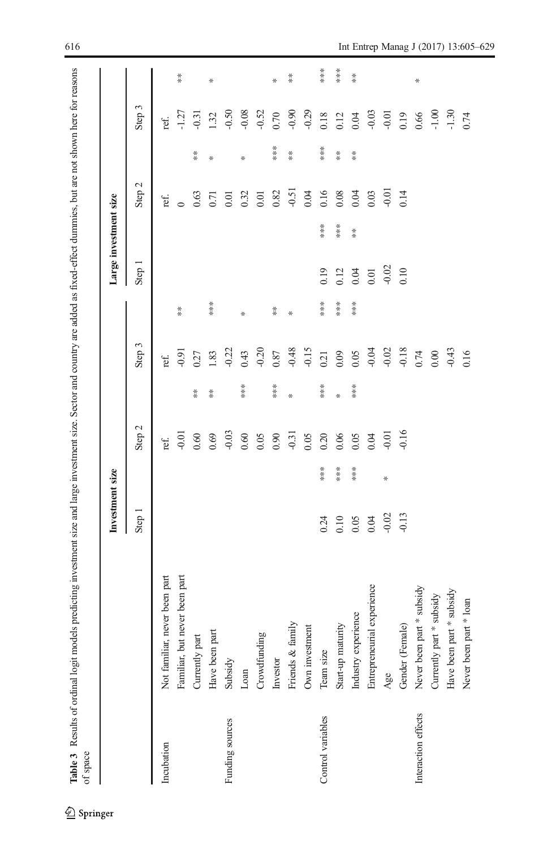<span id="page-11-0"></span>Table 3 Results of ordinal logit models predicting investment size and large investment size. Sector and country are added as fixed-effect dummies, but are not shown here for reasons Table 3 Results of ordinal logit models predicting investment size and large investment size. Sector and country are added as fixed-effect dummies, but are not shown here for reasons<br>of space

|                     |                               | Investment size |     |         |               |                |               |         | Large investment size |         |                      |          |                      |
|---------------------|-------------------------------|-----------------|-----|---------|---------------|----------------|---------------|---------|-----------------------|---------|----------------------|----------|----------------------|
|                     |                               | Step 1          |     | Step 2  |               | Step 3         |               | Step 1  |                       | Step 2  |                      | Step 3   |                      |
| Incubation          | Not familiar, never been part |                 |     | ref.    |               | ref.           |               |         |                       | ref.    |                      | ref.     |                      |
|                     | Familiar, but never been part |                 |     | $-0.01$ |               | $-0.91$        | $\frac{*}{*}$ |         |                       |         |                      | $-1.27$  | $*$                  |
|                     | Currently part                |                 |     | 0.60    | $*$           | 0.27           |               |         |                       | 0.63    | $*$                  | $-0.31$  |                      |
|                     | Have been part                |                 |     | 0.69    | $\frac{*}{*}$ | 1.83           | ***           |         |                       | 0.71    |                      | 1.32     | ⋇                    |
| Funding sources     | Subsidy                       |                 |     | $-0.03$ |               | $-0.22$        |               |         |                       | 0.01    |                      | $-0.50$  |                      |
|                     | Loan                          |                 |     | 0.60    | ***           | 0.43           | ⋇             |         |                       | 0.32    | ⋇                    | $-0.08$  |                      |
|                     | Crowdfunding                  |                 |     | 0.05    |               | $-0.20$        |               |         |                       | 0.01    |                      | $-0.52$  |                      |
|                     | Investor                      |                 |     | 0.90    | ***           | 0.87           | $*$           |         |                       | 0.82    | ***                  | 0.70     | ⋇                    |
|                     | Friends & family              |                 |     | $-0.31$ | ⋇             | $-0.48$        | ∗             |         |                       | $-0.51$ | $\stackrel{*}{\ast}$ | $-0.90$  | $\stackrel{*}{\ast}$ |
|                     | Own investment                |                 |     | 0.05    |               | $-0.15$        |               |         |                       | 0.04    |                      | $-0.29$  |                      |
| Control variables   | Team size                     | 0.24            | *** | 0.20    | ***           | 0.21           | $***$         | 0.19    | ***                   | 0.16    | ***                  | $0.18\,$ | $***$                |
|                     | Start-up maturity             | 0.10            | *** | 0.06    | *             | 0.09           | $***$         | 0.12    | ***                   | 0.08    | $\frac{*}{*}$        | 0.12     | ***                  |
|                     | Industry experience           | 0.05            | *** | 0.05    | ***           | 0.05           | ***           | 0.04    | $*$                   | 0.04    | $*$                  | 0.04     | $\stackrel{*}{\ast}$ |
|                     | Entrepreneurial experience    | 0.04            |     | 0.04    |               | $-0.04$        |               | $0.01$  |                       | 0.03    |                      | $-0.03$  |                      |
|                     | Age                           | $-0.02$         | ₩   | $-0.01$ |               | $-0.02$        |               | $-0.02$ |                       | $-0.01$ |                      | $-0.01$  |                      |
|                     | Gender (Female)               | $-0.13$         |     | $-0.16$ |               | $-0.18$        |               | 0.10    |                       | 0.14    |                      | 0.19     |                      |
| Interaction effects | Never been part * subsidy     |                 |     |         |               |                |               |         |                       |         |                      | 0.66     | ⋇                    |
|                     | subsidy<br>Currently part*    |                 |     |         |               | $0.74$<br>0.00 |               |         |                       |         |                      | $-1.00$  |                      |
|                     | * subsidy<br>Have been part   |                 |     |         |               | $-0.43$        |               |         |                       |         |                      | $-1.30$  |                      |
|                     | Never been part * loan        |                 |     |         |               | 0.16           |               |         |                       |         |                      | 0.74     |                      |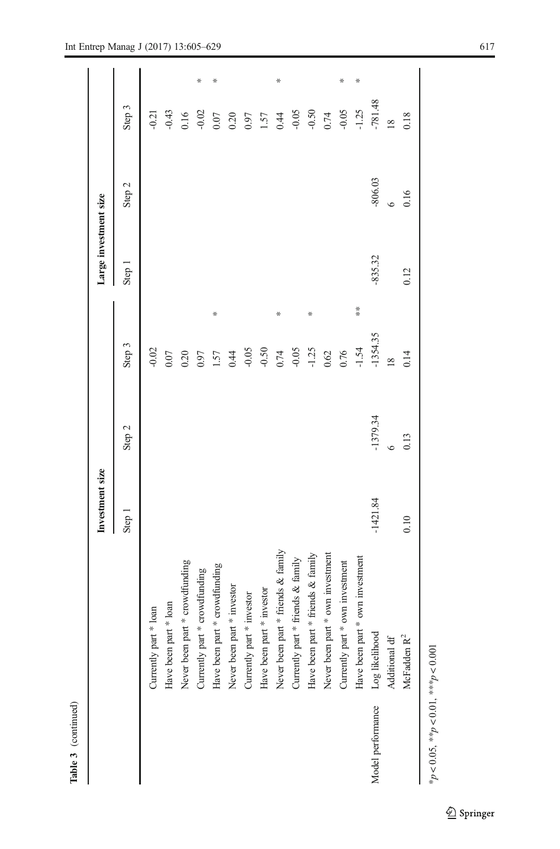|        | - |
|--------|---|
|        |   |
| ۴      | ١ |
| ≌<br>٠ | i |

 $\overline{\phantom{0}}$ 

|                   |                                    | Investment size |            |                | Large investment size |           |               |  |
|-------------------|------------------------------------|-----------------|------------|----------------|-----------------------|-----------|---------------|--|
|                   |                                    | Step 1          | Step 2     | Step 3         | Step 1                | Step 2    | Step 3        |  |
|                   | Currently part * loan              |                 |            | $-0.02$        |                       |           | $-0.21$       |  |
|                   | Have been part * loan              |                 |            | 0.07           |                       |           | $-0.43$       |  |
|                   | Never been part * crowdfunding     |                 |            | 0.20           |                       |           | 0.16          |  |
|                   | Currently part * crowdfunding      |                 |            | 0.97           |                       |           | ⋇<br>$-0.02$  |  |
|                   | Have been part * crowdfunding      |                 |            | ⋇<br>1.57      |                       |           | ×<br>0.07     |  |
|                   | Never been part * investor         |                 |            | 0.44           |                       |           | 0.20          |  |
|                   | * investor<br>Currently part       |                 |            | $-0.05$        |                       |           | 0.97          |  |
|                   | Have been part * investor          |                 |            | $-0.50$        |                       |           | 1.57          |  |
|                   | Never been part * friends & family |                 |            | ⋇<br>0.74      |                       |           | ⋇<br>0.44     |  |
|                   | Currently part * friends & family  |                 |            | $-0.05$        |                       |           | $-0.05$       |  |
|                   | Have been part * friends & family  |                 |            | ⋇<br>$-1.25$   |                       |           | $-0.50$       |  |
|                   | Never been part * own investment   |                 |            | 0.62           |                       |           | 0.74          |  |
|                   | * own investment<br>Currently part |                 |            | 0.76           |                       |           | ⋇<br>$-0.05$  |  |
|                   | Have been part * own investment    |                 |            | $*$<br>$-1.54$ |                       |           | x<br>$-1.25$  |  |
| Model performance | Log likelihood                     | $-1421.84$      | $-1379.34$ | $-1354.35$     | $-835.32$             | $-806.03$ | $-781.48$     |  |
|                   | Additional df                      |                 | $\circ$    | $\infty$       |                       |           | $\frac{8}{2}$ |  |
|                   | McFadden $R^2$                     | 0.10            | 0.13       | 0.14           | 0.12                  | 0.16      | 0.18          |  |
|                   |                                    |                 |            |                |                       |           |               |  |

\* $p < 0.05$ , \*\* $p < 0.01$ , \*\*\* $p < 0.001$ \*p < 0.05, \*\*p < 0.01, \*\*\*p < 0.001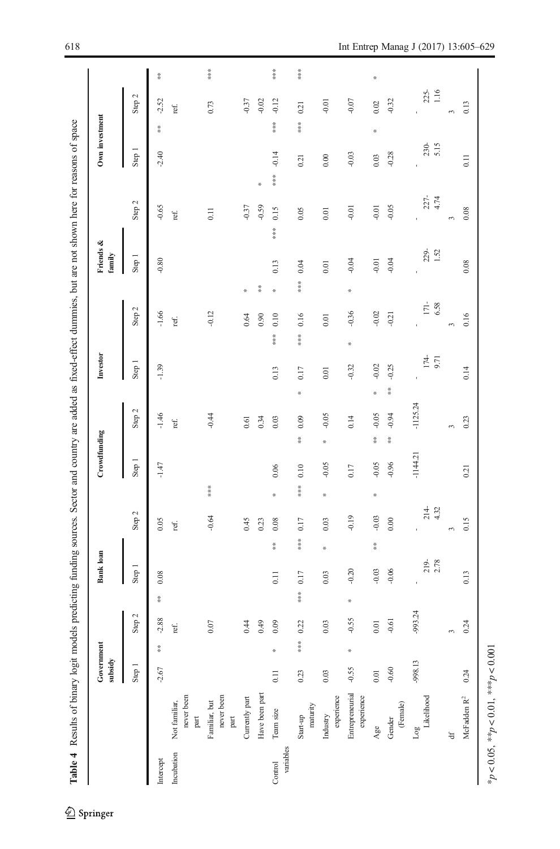<span id="page-13-0"></span>

|                      |                                       | Government<br>subsidy |               |          |     | Bank loan      |         |                 |            | Crowdfunding    |            |     | Investor      |      |                    |                 | Friends &<br>family |                  |     | Own investment |     |                 |                 |
|----------------------|---------------------------------------|-----------------------|---------------|----------|-----|----------------|---------|-----------------|------------|-----------------|------------|-----|---------------|------|--------------------|-----------------|---------------------|------------------|-----|----------------|-----|-----------------|-----------------|
|                      |                                       | Step 1                |               | Step 2   |     | Step 1         | Step 2  |                 | Step 1     |                 | Step 2     |     | Step 1        |      | Step $2$           |                 | Step 1              | Step 2           |     | Step 1         |     | Step 2          |                 |
| Intercept            |                                       | $-2.67$               | $\frac{*}{*}$ | $-2.88$  | $*$ | 0.08           | 0.05    |                 | $-1.47$    |                 | $-1.46$    |     | $-1.39$       |      | $-1.66$            |                 | $-0.80$             | $-0.65$          |     | $-2.40$        | $*$ | $-2.52$         | $\frac{36}{36}$ |
| Incubation           | never been<br>Not familiar,<br>part   |                       |               | ref.     |     |                | ref.    |                 |            |                 | ref.       |     |               |      | ref.               |                 |                     | ref.             |     |                |     | ref.            |                 |
|                      | never been<br>Familiar, but<br>$part$ |                       |               | $0.07$   |     |                | $-0.64$ | ***             |            |                 | $-0.44$    |     |               |      | $-0.12$            |                 |                     | $\overline{0}$ . |     |                |     | 0.73            | ***             |
|                      | Currently part                        |                       |               | 0.44     |     |                | 0.45    |                 |            |                 | 0.61       |     |               |      | 0.64               | ₩               |                     | $-0.37$          |     |                |     | $-0.37$         |                 |
|                      | Have been part                        |                       |               | 0.49     |     |                | 0.23    |                 |            |                 | 0.34       |     |               |      | 0.90               | $\frac{36}{16}$ |                     | $-0.59$          | 쏚   |                |     | $-0.02$         |                 |
| variables<br>Control | Team size                             | 0.11                  | ×             | 0.09     |     | $*$<br>0.11    | 0.08    | 씃               | 0.06       |                 | 0.03       |     | 0.13          | **** | 0.10               | ₩               | 0.13                | 0.15<br>***      | *** | $-0.14$        | *** | $-0.12$         | ****            |
|                      | maturity<br>Start-up                  | 0.23                  | $*$ $*$       | 0.22     | $*$ | $*$<br>0.17    | 0.17    | $*$             | 0.10       | $\frac{16}{16}$ | 0.09       | 쑦   | 0.17          | $*$  | 0.16               | 苦苦苦             | 0.04                | 0.05             |     | 0.21           | 苦苦苦 | 0.21            | 苦苦苦             |
|                      | experience<br>Industry                | 0.03                  |               | 0.03     |     | ₩<br>0.03      | 0.03    | 뚞               | $-0.05$    | ₩               | $-0.05$    |     | 0.01          |      | 0.01               |                 | 0.01                | 0.01             |     | 0.00           |     | $-0.01$         |                 |
|                      | Entrepreneurial<br>experience         | $-0.55$               | ₩             | $-0.55$  | 뚞   | $-0.20$        | $-0.19$ |                 | 0.17       |                 | 0.14       |     | $-0.32$       | ₩    | $-0.36$            | ₩               | $-0.04$             | $-0.01$          |     | $-0.03$        |     | $-0.07$         |                 |
|                      | Age                                   | $0.01\,$              |               | $0.01\,$ |     | $*$<br>$-0.03$ | $-0.03$ | ₩               | $-0.05$    | $\frac{*}{*}$   | $-0.05$    | ₩   | $-0.02$       |      | $-0.02$            |                 | $-0.01$             | $-0.01$          |     | 0.03           | ×   | 0.02            |                 |
|                      | (Female)<br>Gender                    | $-0.60$               |               | $-0.61$  |     | $-0.06$        | 0.00    |                 | $-0.96$    | $*$             | $-0.94$    | $*$ | $-0.25$       |      | $-0.21$            |                 | $-0.04$             | $-0.05$          |     | $-0.28$        |     | $-0.32$         |                 |
|                      | Likelihood<br>Log                     | -998.13               |               | -993.24  |     | $219 - 2.78$   |         | $214 -$<br>4.32 | $-1144.21$ |                 | $-1125.24$ |     | $174$<br>9.71 |      | $\frac{171}{6.58}$ |                 | $229 - 1.52$        | $227 -$<br>4.74  |     | 230-<br>5.15   |     | $225 -$<br>1.16 |                 |
|                      | ₩                                     |                       |               | 3        |     |                | 3       |                 |            |                 | $\epsilon$ |     |               | 3    |                    |                 |                     | 3                |     |                |     | 3               |                 |
|                      | McFadden $\mathbb{R}^2$               | 0.24                  |               | 0.24     |     | 0.13           | 0.15    |                 | 0.21       |                 | 0.23       |     | 0.14          |      | 0.16               |                 | $0.08$              | 0.08             |     | 0.11           |     | 0.13            |                 |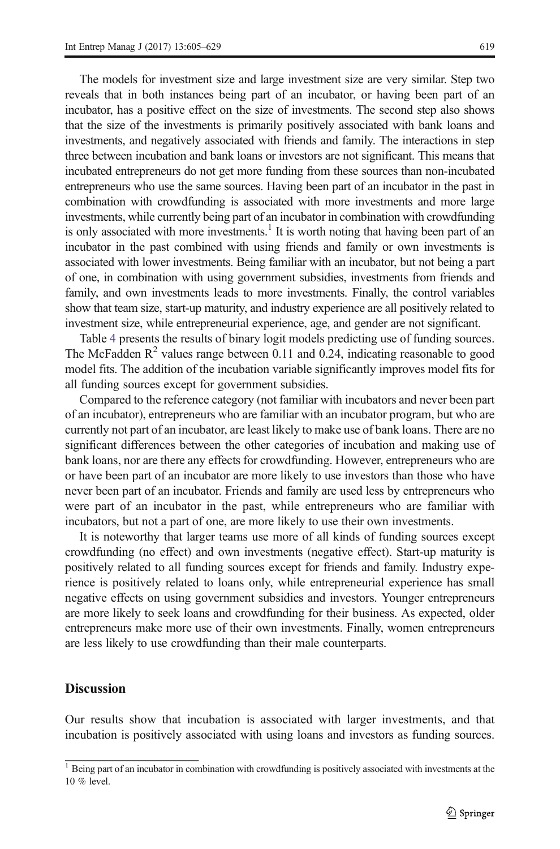The models for investment size and large investment size are very similar. Step two reveals that in both instances being part of an incubator, or having been part of an incubator, has a positive effect on the size of investments. The second step also shows that the size of the investments is primarily positively associated with bank loans and investments, and negatively associated with friends and family. The interactions in step three between incubation and bank loans or investors are not significant. This means that incubated entrepreneurs do not get more funding from these sources than non-incubated entrepreneurs who use the same sources. Having been part of an incubator in the past in combination with crowdfunding is associated with more investments and more large investments, while currently being part of an incubator in combination with crowdfunding is only associated with more investments.<sup>1</sup> It is worth noting that having been part of an incubator in the past combined with using friends and family or own investments is associated with lower investments. Being familiar with an incubator, but not being a part of one, in combination with using government subsidies, investments from friends and family, and own investments leads to more investments. Finally, the control variables show that team size, start-up maturity, and industry experience are all positively related to investment size, while entrepreneurial experience, age, and gender are not significant.

Table [4](#page-13-0) presents the results of binary logit models predicting use of funding sources. The McFadden  $R^2$  values range between 0.11 and 0.24, indicating reasonable to good model fits. The addition of the incubation variable significantly improves model fits for all funding sources except for government subsidies.

Compared to the reference category (not familiar with incubators and never been part of an incubator), entrepreneurs who are familiar with an incubator program, but who are currently not part of an incubator, are least likely to make use of bank loans. There are no significant differences between the other categories of incubation and making use of bank loans, nor are there any effects for crowdfunding. However, entrepreneurs who are or have been part of an incubator are more likely to use investors than those who have never been part of an incubator. Friends and family are used less by entrepreneurs who were part of an incubator in the past, while entrepreneurs who are familiar with incubators, but not a part of one, are more likely to use their own investments.

It is noteworthy that larger teams use more of all kinds of funding sources except crowdfunding (no effect) and own investments (negative effect). Start-up maturity is positively related to all funding sources except for friends and family. Industry experience is positively related to loans only, while entrepreneurial experience has small negative effects on using government subsidies and investors. Younger entrepreneurs are more likely to seek loans and crowdfunding for their business. As expected, older entrepreneurs make more use of their own investments. Finally, women entrepreneurs are less likely to use crowdfunding than their male counterparts.

# **Discussion**

Our results show that incubation is associated with larger investments, and that incubation is positively associated with using loans and investors as funding sources.

 $1$  Being part of an incubator in combination with crowdfunding is positively associated with investments at the 10 % level.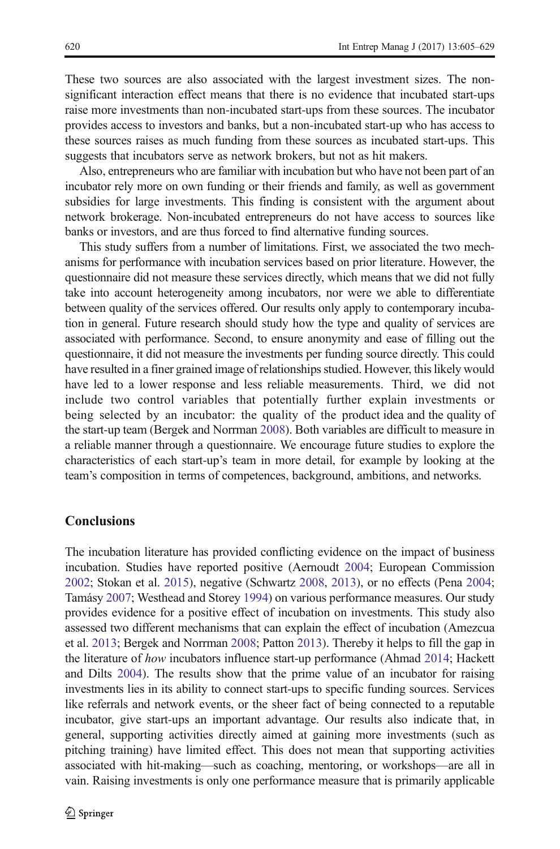These two sources are also associated with the largest investment sizes. The nonsignificant interaction effect means that there is no evidence that incubated start-ups raise more investments than non-incubated start-ups from these sources. The incubator provides access to investors and banks, but a non-incubated start-up who has access to these sources raises as much funding from these sources as incubated start-ups. This suggests that incubators serve as network brokers, but not as hit makers.

Also, entrepreneurs who are familiar with incubation but who have not been part of an incubator rely more on own funding or their friends and family, as well as government subsidies for large investments. This finding is consistent with the argument about network brokerage. Non-incubated entrepreneurs do not have access to sources like banks or investors, and are thus forced to find alternative funding sources.

This study suffers from a number of limitations. First, we associated the two mechanisms for performance with incubation services based on prior literature. However, the questionnaire did not measure these services directly, which means that we did not fully take into account heterogeneity among incubators, nor were we able to differentiate between quality of the services offered. Our results only apply to contemporary incubation in general. Future research should study how the type and quality of services are associated with performance. Second, to ensure anonymity and ease of filling out the questionnaire, it did not measure the investments per funding source directly. This could have resulted in a finer grained image of relationships studied. However, this likely would have led to a lower response and less reliable measurements. Third, we did not include two control variables that potentially further explain investments or being selected by an incubator: the quality of the product idea and the quality of the start-up team (Bergek and Norrman [2008\)](#page-21-0). Both variables are difficult to measure in a reliable manner through a questionnaire. We encourage future studies to explore the characteristics of each start-up's team in more detail, for example by looking at the team's composition in terms of competences, background, ambitions, and networks.

# **Conclusions**

The incubation literature has provided conflicting evidence on the impact of business incubation. Studies have reported positive (Aernoudt [2004](#page-21-0); European Commission [2002;](#page-22-0) Stokan et al. [2015](#page-23-0)), negative (Schwartz [2008,](#page-23-0) [2013\)](#page-23-0), or no effects (Pena [2004;](#page-23-0) Tamásy [2007;](#page-23-0) Westhead and Storey [1994\)](#page-24-0) on various performance measures. Our study provides evidence for a positive effect of incubation on investments. This study also assessed two different mechanisms that can explain the effect of incubation (Amezcua et al. [2013;](#page-21-0) Bergek and Norrman [2008;](#page-21-0) Patton [2013\)](#page-22-0). Thereby it helps to fill the gap in the literature of how incubators influence start-up performance (Ahmad [2014;](#page-21-0) Hackett and Dilts [2004\)](#page-22-0). The results show that the prime value of an incubator for raising investments lies in its ability to connect start-ups to specific funding sources. Services like referrals and network events, or the sheer fact of being connected to a reputable incubator, give start-ups an important advantage. Our results also indicate that, in general, supporting activities directly aimed at gaining more investments (such as pitching training) have limited effect. This does not mean that supporting activities associated with hit-making—such as coaching, mentoring, or workshops—are all in vain. Raising investments is only one performance measure that is primarily applicable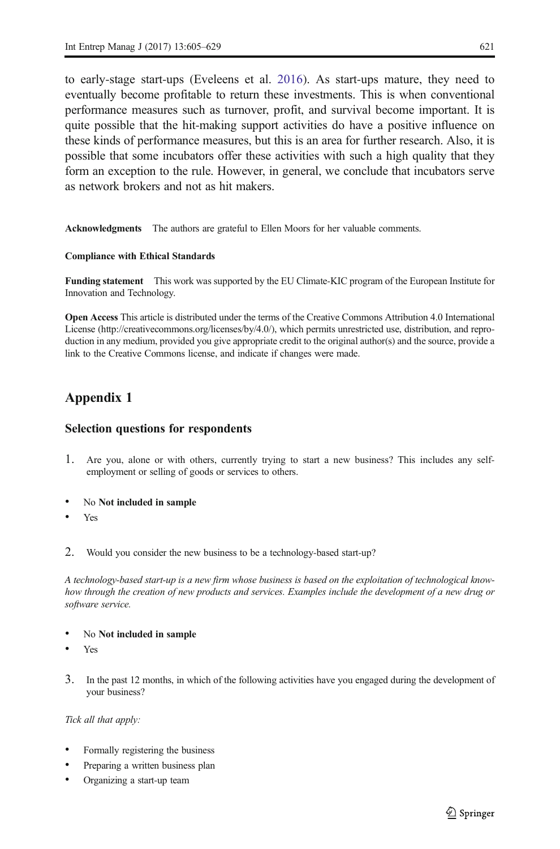<span id="page-16-0"></span>to early-stage start-ups (Eveleens et al. [2016\)](#page-22-0). As start-ups mature, they need to eventually become profitable to return these investments. This is when conventional performance measures such as turnover, profit, and survival become important. It is quite possible that the hit-making support activities do have a positive influence on these kinds of performance measures, but this is an area for further research. Also, it is possible that some incubators offer these activities with such a high quality that they form an exception to the rule. However, in general, we conclude that incubators serve as network brokers and not as hit makers.

Acknowledgments The authors are grateful to Ellen Moors for her valuable comments.

#### Compliance with Ethical Standards

Funding statement This work was supported by the EU Climate-KIC program of the European Institute for Innovation and Technology.

Open Access This article is distributed under the terms of the Creative Commons Attribution 4.0 International License (http://creativecommons.org/licenses/by/4.0/), which permits unrestricted use, distribution, and reproduction in any medium, provided you give appropriate credit to the original author(s) and the source, provide a link to the Creative Commons license, and indicate if changes were made.

# Appendix 1

# Selection questions for respondents

- 1. Are you, alone or with others, currently trying to start a new business? This includes any selfemployment or selling of goods or services to others.
- No Not included in sample
- Yes
- 2. Would you consider the new business to be a technology-based start-up?

A technology-based start-up is a new firm whose business is based on the exploitation of technological knowhow through the creation of new products and services. Examples include the development of a new drug or software service.

- No Not included in sample
- **Yes**
- 3. In the past 12 months, in which of the following activities have you engaged during the development of your business?

Tick all that apply:

- Formally registering the business
- Preparing a written business plan
- Organizing a start-up team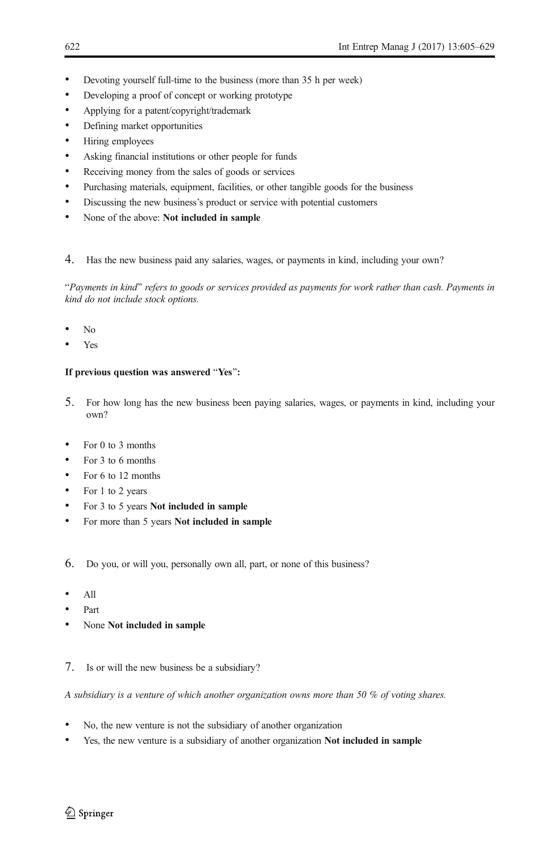- Devoting yourself full-time to the business (more than 35 h per week)
- Developing a proof of concept or working prototype
- & Applying for a patent/copyright/trademark
- Defining market opportunities
- Hiring employees
- & Asking financial institutions or other people for funds
- Receiving money from the sales of goods or services
- Purchasing materials, equipment, facilities, or other tangible goods for the business
- Discussing the new business's product or service with potential customers
- None of the above: Not included in sample
- 4. Has the new business paid any salaries, wages, or payments in kind, including your own?

"Payments in kind" refers to goods or services provided as payments for work rather than cash. Payments in kind do not include stock options.

- $N<sub>0</sub>$
- Yes

#### If previous question was answered "Yes":

- 5. For how long has the new business been paying salaries, wages, or payments in kind, including your own?
- For  $0$  to 3 months
- For 3 to 6 months
- For 6 to 12 months
- For 1 to 2 years
- For 3 to 5 years Not included in sample
- For more than 5 years Not included in sample
- 6. Do you, or will you, personally own all, part, or none of this business?
- & All
- & Part
- None Not included in sample
- 7. Is or will the new business be a subsidiary?

A subsidiary is a venture of which another organization owns more than 50 % of voting shares.

- No, the new venture is not the subsidiary of another organization
- Yes, the new venture is a subsidiary of another organization Not included in sample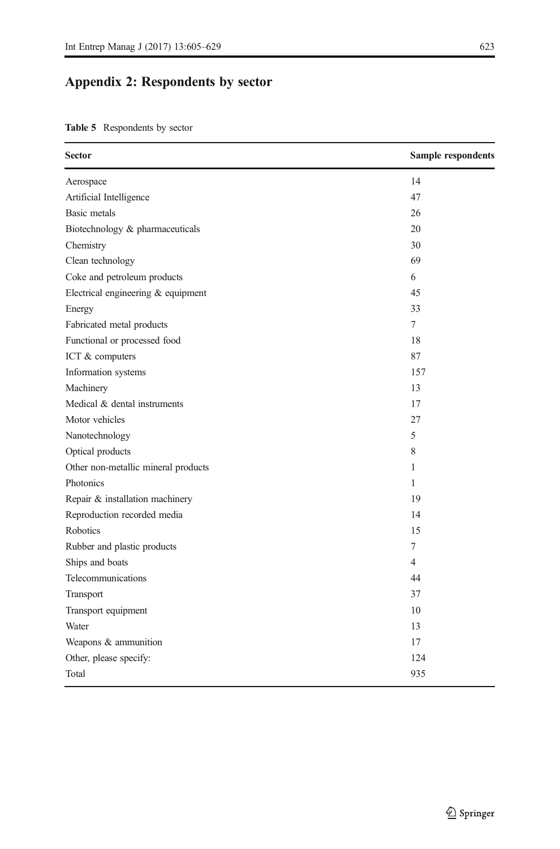# Appendix 2: Respondents by sector

Table 5 Respondents by sector

| <b>Sector</b>                       | Sample respondents |
|-------------------------------------|--------------------|
| Aerospace                           | 14                 |
| Artificial Intelligence             | 47                 |
| <b>Basic</b> metals                 | 26                 |
| Biotechnology & pharmaceuticals     | 20                 |
| Chemistry                           | 30                 |
| Clean technology                    | 69                 |
| Coke and petroleum products         | 6                  |
| Electrical engineering & equipment  | 45                 |
| Energy                              | 33                 |
| Fabricated metal products           | 7                  |
| Functional or processed food        | 18                 |
| ICT & computers                     | 87                 |
| Information systems                 | 157                |
| Machinery                           | 13                 |
| Medical & dental instruments        | 17                 |
| Motor vehicles                      | 27                 |
| Nanotechnology                      | 5                  |
| Optical products                    | 8                  |
| Other non-metallic mineral products | 1                  |
| Photonics                           | 1                  |
| Repair & installation machinery     | 19                 |
| Reproduction recorded media         | 14                 |
| Robotics                            | 15                 |
| Rubber and plastic products         | 7                  |
| Ships and boats                     | 4                  |
| Telecommunications                  | 44                 |
| Transport                           | 37                 |
| Transport equipment                 | 10                 |
| Water                               | 13                 |
| Weapons & ammunition                | 17                 |
| Other, please specify:              | 124                |
| Total                               | 935                |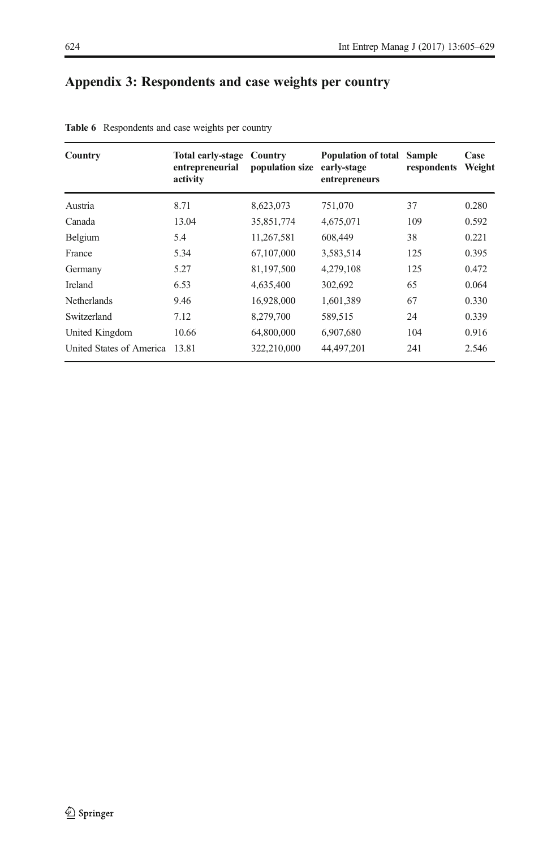# <span id="page-19-0"></span>Appendix 3: Respondents and case weights per country

| Country                  | Total early-stage Country<br>entrepreneurial<br>activity | population size | Population of total<br>early-stage<br>entrepreneurs | <b>Sample</b><br>respondents | Case<br>Weight |
|--------------------------|----------------------------------------------------------|-----------------|-----------------------------------------------------|------------------------------|----------------|
| Austria                  | 8.71                                                     | 8,623,073       | 751,070                                             | 37                           | 0.280          |
| Canada                   | 13.04                                                    | 35,851,774      | 4,675,071                                           | 109                          | 0.592          |
| Belgium                  | 5.4                                                      | 11,267,581      | 608,449                                             | 38                           | 0.221          |
| France                   | 5.34                                                     | 67,107,000      | 3,583,514                                           | 125                          | 0.395          |
| Germany                  | 5.27                                                     | 81,197,500      | 4,279,108                                           | 125                          | 0.472          |
| <b>Ireland</b>           | 6.53                                                     | 4.635,400       | 302,692                                             | 65                           | 0.064          |
| <b>Netherlands</b>       | 9.46                                                     | 16,928,000      | 1,601,389                                           | 67                           | 0.330          |
| Switzerland              | 7.12                                                     | 8,279,700       | 589,515                                             | 24                           | 0.339          |
| United Kingdom           | 10.66                                                    | 64,800,000      | 6.907.680                                           | 104                          | 0.916          |
| United States of America | 13.81                                                    | 322,210,000     | 44,497,201                                          | 241                          | 2.546          |

Table 6 Respondents and case weights per country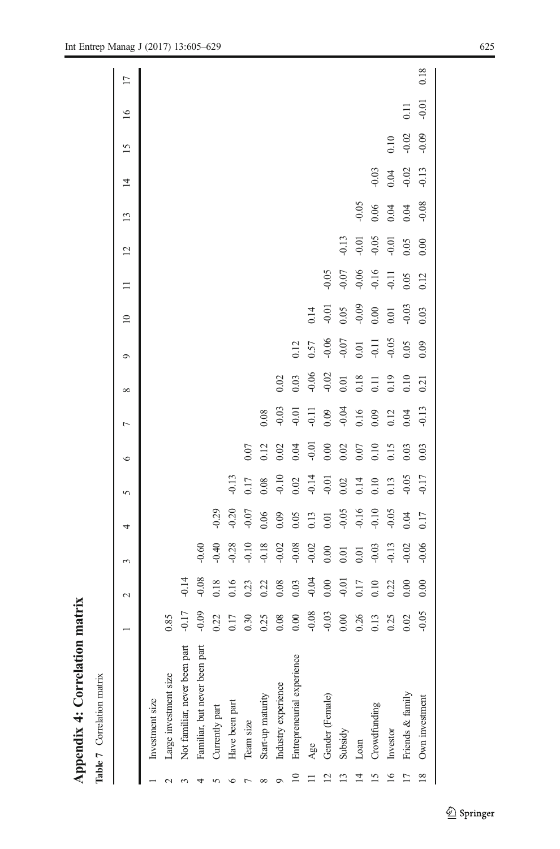| ì                         |
|---------------------------|
| i<br>,                    |
| ι                         |
| ı<br>J<br>י<br>יי היי היי |
|                           |

| į<br>⋍                |
|-----------------------|
| 5<br>Ĕ<br>ί<br>ì<br>ì |
| ᡕ<br>5<br>۱<br>٩<br>Ξ |

<span id="page-20-0"></span>

|                |                               |         | $\sim$           | 3                                                        | 4       | 5                 | $\circ$                         | $\overline{ }$          | ${}^{\circ}$   | $\circ$ | $\overline{10}$      | $\equiv$                      | $\overline{2}$    | 13      | $\overline{1}$         | 15      | $\overline{16}$ | $\overline{17}$ |
|----------------|-------------------------------|---------|------------------|----------------------------------------------------------|---------|-------------------|---------------------------------|-------------------------|----------------|---------|----------------------|-------------------------------|-------------------|---------|------------------------|---------|-----------------|-----------------|
|                | Investment size               |         |                  |                                                          |         |                   |                                 |                         |                |         |                      |                               |                   |         |                        |         |                 |                 |
|                | Large investment size         | 0.85    |                  |                                                          |         |                   |                                 |                         |                |         |                      |                               |                   |         |                        |         |                 |                 |
|                | Not familiar, never been part | $-0.17$ | $-0.14$          |                                                          |         |                   |                                 |                         |                |         |                      |                               |                   |         |                        |         |                 |                 |
|                | Familiar, but never been part | $-0.09$ | 0.08             | 0.60                                                     |         |                   |                                 |                         |                |         |                      |                               |                   |         |                        |         |                 |                 |
|                | Currently part                | 0.22    | 0.18             | 0.40                                                     | $-0.29$ |                   |                                 |                         |                |         |                      |                               |                   |         |                        |         |                 |                 |
|                | Have been part                | 0.17    | 0.16             |                                                          | 0.20    | $-0.13$           |                                 |                         |                |         |                      |                               |                   |         |                        |         |                 |                 |
|                | Team size                     | 0.30    | 0.23             | $0.28$<br>$0.10$<br>$0.18$<br>$0.02$<br>$0.02$<br>$0.02$ | $-0.07$ | 0.17              | 0.07                            |                         |                |         |                      |                               |                   |         |                        |         |                 |                 |
|                | Start-up maturity             | 0.25    | 0.22             |                                                          | 0.06    | 0.08              |                                 | 0.08                    |                |         |                      |                               |                   |         |                        |         |                 |                 |
| O              | Industry experience           | 0.08    | 0.08             |                                                          | 0.09    | $-0.10$<br>$0.02$ | $3.12$<br>$3.02$<br>$3.04$      | $0.03$<br>$0.01$        | 0.02           |         |                      |                               |                   |         |                        |         |                 |                 |
| $\approx$      | Entrepreneurial experience    | 0.00    | 0.03             |                                                          | 0.05    |                   |                                 |                         | 0.03           | 0.12    |                      |                               |                   |         |                        |         |                 |                 |
|                | Age                           | $-0.08$ | $-0.04$          |                                                          | 0.13    | $-0.14$           |                                 | $-0.11$<br>0.09<br>0.04 | $-0.06$        | 0.57    |                      |                               |                   |         |                        |         |                 |                 |
| $\overline{c}$ | Gender (Female)               | $-0.03$ | 0.00             | 0.00                                                     | 0.01    |                   |                                 |                         | $-0.02$        | $-0.06$ | 0.14                 | 0.05                          |                   |         |                        |         |                 |                 |
|                | Subsidy                       | 0.00    | $-0.01$          | 0.01                                                     | $-0.05$ | 0.02              |                                 |                         | $0.01$         | $-0.07$ |                      | 0.07                          | 0.13              |         |                        |         |                 |                 |
|                | Loan                          | 0.26    | $0.17$<br>$0.10$ | 0.01                                                     | $-0.16$ | 0.14              |                                 | $0.16$<br>0.09          | $0.18$<br>0.11 | 0.01    |                      |                               |                   | $-0.05$ |                        |         |                 |                 |
| 15             | Crowdfunding                  | 0.13    |                  | $-0.03$                                                  | $-0.10$ | 0.10              | $0.000$<br>0.02<br>0.07<br>0.15 |                         |                |         | 0.05<br>0.09<br>0.00 | $-0.06$<br>$-0.16$<br>$-0.11$ | $-0.01$<br>$0.05$ | 0.06    |                        |         |                 |                 |
| 16             | Investor                      | 0.25    | 0.22             | $-0.13$<br>$-0.02$                                       | $-0.05$ | 0.13              |                                 | 0.12                    | 0.19           | $-0.05$ |                      |                               | $-0.01$<br>0.05   | 0.04    | $0.03$<br>0.04<br>0.02 | 0.10    |                 |                 |
| $\frac{17}{2}$ | Friends & family              | 0.02    | 0.00             |                                                          | 0.04    | 0.05              | 0.03                            | 0.04                    | 0.10           | 0.05    | 0.03                 | 0.05                          |                   | 0.04    |                        | $-0.02$ | 0.11            |                 |
|                | 18 Own investment             | $-0.05$ | 0.00             | $-0.06$                                                  | 0.17    | $-0.17$           | 0.03                            | $-0.13$                 | 0.21           | 0.09    | 0.03                 | 0.12                          | 0.00              | 0.08    | $-0.13$                | 0.09    | $-0.01$         | 0.18            |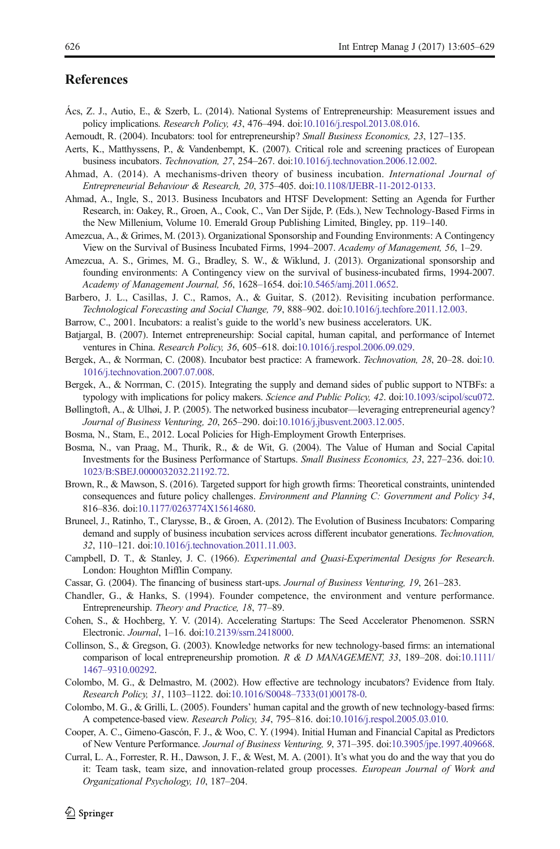# <span id="page-21-0"></span>**References**

- Ács, Z. J., Autio, E., & Szerb, L. (2014). National Systems of Entrepreneurship: Measurement issues and policy implications. Research Policy, 43, 476–494. doi:[10.1016/j.respol.2013.08.016.](http://dx.doi.org/10.1016/j.respol.2013.08.016)
- Aernoudt, R. (2004). Incubators: tool for entrepreneurship? Small Business Economics, 23, 127–135.
- Aerts, K., Matthyssens, P., & Vandenbempt, K. (2007). Critical role and screening practices of European business incubators. Technovation, 27, 254–267. doi[:10.1016/j.technovation.2006.12.002](http://dx.doi.org/10.1016/j.technovation.2006.12.002).
- Ahmad, A. (2014). A mechanisms-driven theory of business incubation. International Journal of Entrepreneurial Behaviour & Research, 20, 375–405. doi:[10.1108/IJEBR-11-2012-0133](http://dx.doi.org/10.1108/IJEBR-11-2012-0133).
- Ahmad, A., Ingle, S., 2013. Business Incubators and HTSF Development: Setting an Agenda for Further Research, in: Oakey, R., Groen, A., Cook, C., Van Der Sijde, P. (Eds.), New Technology-Based Firms in the New Millenium, Volume 10. Emerald Group Publishing Limited, Bingley, pp. 119–140.
- Amezcua, A., & Grimes, M. (2013). Organizational Sponsorship and Founding Environments: A Contingency View on the Survival of Business Incubated Firms, 1994–2007. Academy of Management, 56, 1–29.
- Amezcua, A. S., Grimes, M. G., Bradley, S. W., & Wiklund, J. (2013). Organizational sponsorship and founding environments: A Contingency view on the survival of business-incubated firms, 1994-2007. Academy of Management Journal, 56, 1628–1654. doi:[10.5465/amj.2011.0652.](http://dx.doi.org/10.5465/amj.2011.0652)
- Barbero, J. L., Casillas, J. C., Ramos, A., & Guitar, S. (2012). Revisiting incubation performance. Technological Forecasting and Social Change, 79, 888–902. doi:[10.1016/j.techfore.2011.12.003](http://dx.doi.org/10.1016/j.techfore.2011.12.003).
- Barrow, C., 2001. Incubators: a realist's guide to the world's new business accelerators. UK.
- Batjargal, B. (2007). Internet entrepreneurship: Social capital, human capital, and performance of Internet ventures in China. Research Policy, 36, 605–618. doi[:10.1016/j.respol.2006.09.029.](http://dx.doi.org/10.1016/j.respol.2006.09.029)
- Bergek, A., & Norrman, C. (2008). Incubator best practice: A framework. Technovation, 28, 20–28. doi:[10.](http://dx.doi.org/10.1016/j.technovation.2007.07.008) [1016/j.technovation.2007.07.008.](http://dx.doi.org/10.1016/j.technovation.2007.07.008)
- Bergek, A., & Norrman, C. (2015). Integrating the supply and demand sides of public support to NTBFs: a typology with implications for policy makers. Science and Public Policy, 42. doi[:10.1093/scipol/scu072](http://dx.doi.org/10.1093/scipol/scu072).
- Bøllingtoft, A., & Ulhøi, J. P. (2005). The networked business incubator—leveraging entrepreneurial agency? Journal of Business Venturing, 20, 265–290. doi[:10.1016/j.jbusvent.2003.12.005.](http://dx.doi.org/10.1016/j.jbusvent.2003.12.005)
- Bosma, N., Stam, E., 2012. Local Policies for High-Employment Growth Enterprises.
- Bosma, N., van Praag, M., Thurik, R., & de Wit, G. (2004). The Value of Human and Social Capital Investments for the Business Performance of Startups. Small Business Economics, 23, 227–236. doi:[10.](http://dx.doi.org/10.1023/B:SBEJ.0000032032.21192.72) [1023/B:SBEJ.0000032032.21192.72](http://dx.doi.org/10.1023/B:SBEJ.0000032032.21192.72).
- Brown, R., & Mawson, S. (2016). Targeted support for high growth firms: Theoretical constraints, unintended consequences and future policy challenges. Environment and Planning C: Government and Policy 34, 816–836. doi[:10.1177/0263774X15614680.](http://dx.doi.org/10.1177/0263774X15614680)
- Bruneel, J., Ratinho, T., Clarysse, B., & Groen, A. (2012). The Evolution of Business Incubators: Comparing demand and supply of business incubation services across different incubator generations. Technovation, 32, 110–121. doi[:10.1016/j.technovation.2011.11.003.](http://dx.doi.org/10.1016/j.technovation.2011.11.003)
- Campbell, D. T., & Stanley, J. C. (1966). Experimental and Quasi-Experimental Designs for Research. London: Houghton Mifflin Company.
- Cassar, G. (2004). The financing of business start-ups. Journal of Business Venturing, 19, 261–283.
- Chandler, G., & Hanks, S. (1994). Founder competence, the environment and venture performance. Entrepreneurship. Theory and Practice, 18, 77–89.
- Cohen, S., & Hochberg, Y. V. (2014). Accelerating Startups: The Seed Accelerator Phenomenon. SSRN Electronic. Journal, 1–16. doi[:10.2139/ssrn.2418000.](http://dx.doi.org/10.2139/ssrn.2418000)
- Collinson, S., & Gregson, G. (2003). Knowledge networks for new technology-based firms: an international comparison of local entrepreneurship promotion. R & D MANAGEMENT, 33, 189–208. doi[:10.1111/](http://dx.doi.org/10.1111/1467-9310.00292) 1467–[9310.00292](http://dx.doi.org/10.1111/1467-9310.00292).
- Colombo, M. G., & Delmastro, M. (2002). How effective are technology incubators? Evidence from Italy. Research Policy, 31, 1103–1122. doi:10.1016/S0048–[7333\(01\)00178-0](http://dx.doi.org/10.1016/S0048-7333(01)00178-0).
- Colombo, M. G., & Grilli, L. (2005). Founders' human capital and the growth of new technology-based firms: A competence-based view. Research Policy, 34, 795–816. doi[:10.1016/j.respol.2005.03.010](http://dx.doi.org/10.1016/j.respol.2005.03.010).
- Cooper, A. C., Gimeno-Gascón, F. J., & Woo, C. Y. (1994). Initial Human and Financial Capital as Predictors of New Venture Performance. Journal of Business Venturing, 9, 371–395. doi[:10.3905/jpe.1997.409668](http://dx.doi.org/10.3905/jpe.1997.409668).
- Curral, L. A., Forrester, R. H., Dawson, J. F., & West, M. A. (2001). It's what you do and the way that you do it: Team task, team size, and innovation-related group processes. European Journal of Work and Organizational Psychology, 10, 187–204.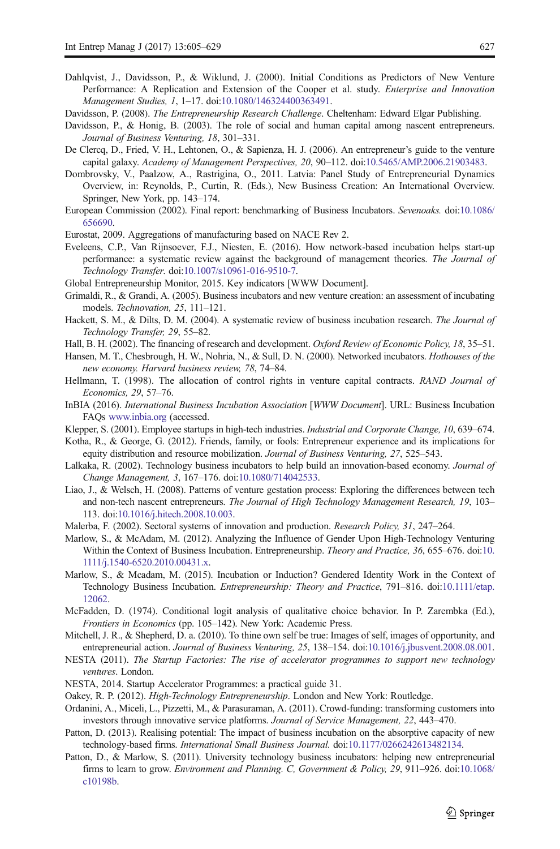- <span id="page-22-0"></span>Dahlqvist, J., Davidsson, P., & Wiklund, J. (2000). Initial Conditions as Predictors of New Venture Performance: A Replication and Extension of the Cooper et al. study. Enterprise and Innovation Management Studies, 1, 1–17. doi:[10.1080/146324400363491](http://dx.doi.org/10.1080/146324400363491).
- Davidsson, P. (2008). The Entrepreneurship Research Challenge. Cheltenham: Edward Elgar Publishing.
- Davidsson, P., & Honig, B. (2003). The role of social and human capital among nascent entrepreneurs. Journal of Business Venturing, 18, 301–331.
- De Clercq, D., Fried, V. H., Lehtonen, O., & Sapienza, H. J. (2006). An entrepreneur's guide to the venture capital galaxy. Academy of Management Perspectives, 20, 90–112. doi[:10.5465/AMP.2006.21903483.](http://dx.doi.org/10.5465/AMP.2006.21903483)
- Dombrovsky, V., Paalzow, A., Rastrigina, O., 2011. Latvia: Panel Study of Entrepreneurial Dynamics Overview, in: Reynolds, P., Curtin, R. (Eds.), New Business Creation: An International Overview. Springer, New York, pp. 143–174.
- European Commission (2002). Final report: benchmarking of Business Incubators. Sevenoaks. doi[:10.1086/](http://dx.doi.org/10.1086/656690) [656690](http://dx.doi.org/10.1086/656690).
- Eurostat, 2009. Aggregations of manufacturing based on NACE Rev 2.
- Eveleens, C.P., Van Rijnsoever, F.J., Niesten, E. (2016). How network-based incubation helps start-up performance: a systematic review against the background of management theories. The Journal of Technology Transfer. doi[:10.1007/s10961-016-9510-7](http://dx.doi.org/10.1007/s10961-016-9510-7).
- Global Entrepreneurship Monitor, 2015. Key indicators [WWW Document].
- Grimaldi, R., & Grandi, A. (2005). Business incubators and new venture creation: an assessment of incubating models. Technovation, 25, 111–121.
- Hackett, S. M., & Dilts, D. M. (2004). A systematic review of business incubation research. The Journal of Technology Transfer, 29, 55–82.
- Hall, B. H. (2002). The financing of research and development. Oxford Review of Economic Policy, 18, 35–51.
- Hansen, M. T., Chesbrough, H. W., Nohria, N., & Sull, D. N. (2000). Networked incubators. *Hothouses of the* new economy. Harvard business review, 78, 74–84.
- Hellmann, T. (1998). The allocation of control rights in venture capital contracts. RAND Journal of Economics, 29, 57–76.
- InBIA (2016). International Business Incubation Association [WWW Document]. URL: Business Incubation FAQs [www.inbia.org](http://dx.doi.org/http://www.inbia.org) (accessed.
- Klepper, S. (2001). Employee startups in high-tech industries. *Industrial and Corporate Change*, 10, 639–674.
- Kotha, R., & George, G. (2012). Friends, family, or fools: Entrepreneur experience and its implications for equity distribution and resource mobilization. Journal of Business Venturing, 27, 525–543.
- Lalkaka, R. (2002). Technology business incubators to help build an innovation-based economy. Journal of Change Management, 3, 167–176. doi[:10.1080/714042533](http://dx.doi.org/10.1080/714042533).
- Liao, J., & Welsch, H. (2008). Patterns of venture gestation process: Exploring the differences between tech and non-tech nascent entrepreneurs. The Journal of High Technology Management Research, 19, 103– 113. doi[:10.1016/j.hitech.2008.10.003.](http://dx.doi.org/10.1016/j.hitech.2008.10.003)
- Malerba, F. (2002). Sectoral systems of innovation and production. Research Policy, 31, 247–264.
- Marlow, S., & McAdam, M. (2012). Analyzing the Influence of Gender Upon High-Technology Venturing Within the Context of Business Incubation. Entrepreneurship. Theory and Practice, 36, 655–676. doi:[10.](http://dx.doi.org/10.1111/j.1540-6520.2010.00431.x) [1111/j.1540-6520.2010.00431.x.](http://dx.doi.org/10.1111/j.1540-6520.2010.00431.x)
- Marlow, S., & Mcadam, M. (2015). Incubation or Induction? Gendered Identity Work in the Context of Technology Business Incubation. Entrepreneurship: Theory and Practice, 791–816. doi[:10.1111/etap.](http://dx.doi.org/10.1111/etap.12062) [12062](http://dx.doi.org/10.1111/etap.12062).
- McFadden, D. (1974). Conditional logit analysis of qualitative choice behavior. In P. Zarembka (Ed.), Frontiers in Economics (pp. 105–142). New York: Academic Press.
- Mitchell, J. R., & Shepherd, D. a. (2010). To thine own self be true: Images of self, images of opportunity, and entrepreneurial action. Journal of Business Venturing, 25, 138–154. doi:[10.1016/j.jbusvent.2008.08.001](http://dx.doi.org/10.1016/j.jbusvent.2008.08.001).
- NESTA (2011). The Startup Factories: The rise of accelerator programmes to support new technology ventures. London.
- NESTA, 2014. Startup Accelerator Programmes: a practical guide 31.
- Oakey, R. P. (2012). High-Technology Entrepreneurship. London and New York: Routledge.
- Ordanini, A., Miceli, L., Pizzetti, M., & Parasuraman, A. (2011). Crowd-funding: transforming customers into investors through innovative service platforms. Journal of Service Management, 22, 443–470.
- Patton, D. (2013). Realising potential: The impact of business incubation on the absorptive capacity of new technology-based firms. International Small Business Journal. doi[:10.1177/0266242613482134](http://dx.doi.org/10.1177/0266242613482134).
- Patton, D., & Marlow, S. (2011). University technology business incubators: helping new entrepreneurial firms to learn to grow. Environment and Planning. C, Government & Policy, 29, 911–926. doi[:10.1068/](http://dx.doi.org/10.1068/c10198b) [c10198b.](http://dx.doi.org/10.1068/c10198b)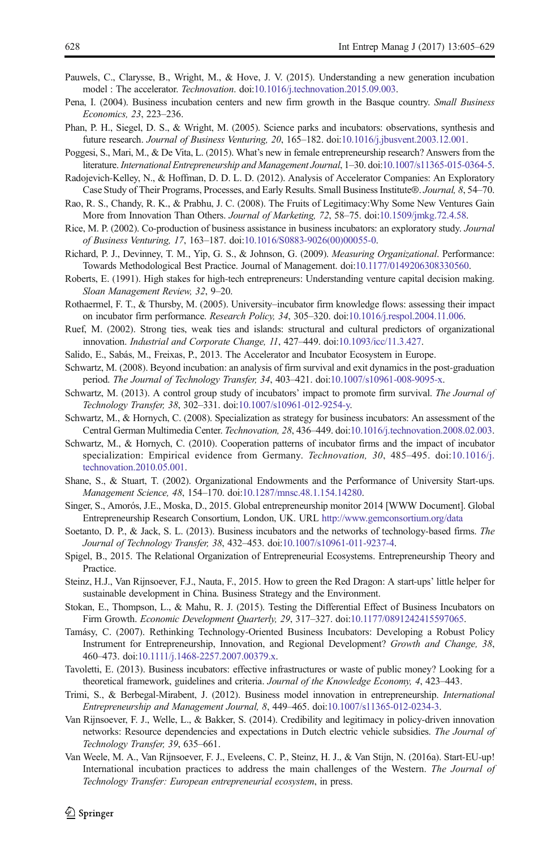- <span id="page-23-0"></span>Pauwels, C., Clarysse, B., Wright, M., & Hove, J. V. (2015). Understanding a new generation incubation model : The accelerator. Technovation. doi:[10.1016/j.technovation.2015.09.003.](http://dx.doi.org/10.1016/j.technovation.2015.09.003)
- Pena, I. (2004). Business incubation centers and new firm growth in the Basque country. Small Business Economics, 23, 223–236.
- Phan, P. H., Siegel, D. S., & Wright, M. (2005). Science parks and incubators: observations, synthesis and future research. Journal of Business Venturing, 20, 165–182. doi[:10.1016/j.jbusvent.2003.12.001.](http://dx.doi.org/10.1016/j.jbusvent.2003.12.001)
- Poggesi, S., Mari, M., & De Vita, L. (2015). What's new in female entrepreneurship research? Answers from the literature. International Entrepreneurship and Management Journal, 1–30. doi[:10.1007/s11365-015-0364-5](http://dx.doi.org/10.1007/s11365-015-0364-5).
- Radojevich-Kelley, N., & Hoffman, D. D. L. D. (2012). Analysis of Accelerator Companies: An Exploratory Case Study of Their Programs, Processes, and Early Results. Small Business Institute®. Journal, 8, 54–70.
- Rao, R. S., Chandy, R. K., & Prabhu, J. C. (2008). The Fruits of Legitimacy:Why Some New Ventures Gain More from Innovation Than Others. Journal of Marketing, 72, 58–75. doi[:10.1509/jmkg.72.4.58](http://dx.doi.org/10.1509/jmkg.72.4.58).
- Rice, M. P. (2002). Co-production of business assistance in business incubators: an exploratory study. Journal of Business Venturing, 17, 163–187. doi:[10.1016/S0883-9026\(00\)00055-0](http://dx.doi.org/10.1016/S0883-9026(00)00055-0).
- Richard, P. J., Devinney, T. M., Yip, G. S., & Johnson, G. (2009). Measuring Organizational. Performance: Towards Methodological Best Practice. Journal of Management. doi[:10.1177/0149206308330560](http://dx.doi.org/10.1177/0149206308330560).
- Roberts, E. (1991). High stakes for high-tech entrepreneurs: Understanding venture capital decision making. Sloan Management Review, 32, 9–20.
- Rothaermel, F. T., & Thursby, M. (2005). University–incubator firm knowledge flows: assessing their impact on incubator firm performance. Research Policy, 34, 305–320. doi:[10.1016/j.respol.2004.11.006.](http://dx.doi.org/10.1016/j.respol.2004.11.006)
- Ruef, M. (2002). Strong ties, weak ties and islands: structural and cultural predictors of organizational innovation. Industrial and Corporate Change, 11, 427–449. doi[:10.1093/icc/11.3.427.](http://dx.doi.org/10.1093/icc/11.3.427)
- Salido, E., Sabás, M., Freixas, P., 2013. The Accelerator and Incubator Ecosystem in Europe.
- Schwartz, M. (2008). Beyond incubation: an analysis of firm survival and exit dynamics in the post-graduation period. The Journal of Technology Transfer, 34, 403–421. doi:[10.1007/s10961-008-9095-x](http://dx.doi.org/10.1007/s10961-008-9095-x).
- Schwartz, M. (2013). A control group study of incubators' impact to promote firm survival. The Journal of Technology Transfer, 38, 302–331. doi[:10.1007/s10961-012-9254-y.](http://dx.doi.org/10.1007/s10961-012-9254-y)
- Schwartz, M., & Hornych, C. (2008). Specialization as strategy for business incubators: An assessment of the Central German Multimedia Center. Technovation, 28, 436–449. doi[:10.1016/j.technovation.2008.02.003](http://dx.doi.org/10.1016/j.technovation.2008.02.003).
- Schwartz, M., & Hornych, C. (2010). Cooperation patterns of incubator firms and the impact of incubator specialization: Empirical evidence from Germany. Technovation, 30, 485–495. doi:[10.1016/j.](http://dx.doi.org/10.1016/j.technovation.2010.05.001) [technovation.2010.05.001](http://dx.doi.org/10.1016/j.technovation.2010.05.001).
- Shane, S., & Stuart, T. (2002). Organizational Endowments and the Performance of University Start-ups. Management Science, 48, 154–170. doi[:10.1287/mnsc.48.1.154.14280](http://dx.doi.org/10.1287/mnsc.48.1.154.14280).
- Singer, S., Amorós, J.E., Moska, D., 2015. Global entrepreneurship monitor 2014 [WWW Document]. Global Entrepreneurship Research Consortium, London, UK. URL <http://www.gemconsortium.org/data>
- Soetanto, D. P., & Jack, S. L. (2013). Business incubators and the networks of technology-based firms. The Journal of Technology Transfer, 38, 432–453. doi:[10.1007/s10961-011-9237-4](http://dx.doi.org/10.1007/s10961-011-9237-4).
- Spigel, B., 2015. The Relational Organization of Entrepreneurial Ecosystems. Entrepreneurship Theory and Practice.
- Steinz, H.J., Van Rijnsoever, F.J., Nauta, F., 2015. How to green the Red Dragon: A start-ups' little helper for sustainable development in China. Business Strategy and the Environment.
- Stokan, E., Thompson, L., & Mahu, R. J. (2015). Testing the Differential Effect of Business Incubators on Firm Growth. Economic Development Quarterly, 29, 317–327. doi[:10.1177/0891242415597065](http://dx.doi.org/10.1177/0891242415597065).
- Tamásy, C. (2007). Rethinking Technology-Oriented Business Incubators: Developing a Robust Policy Instrument for Entrepreneurship, Innovation, and Regional Development? Growth and Change, 38, 460–473. doi[:10.1111/j.1468-2257.2007.00379.x](http://dx.doi.org/10.1111/j.1468-2257.2007.00379.x).
- Tavoletti, E. (2013). Business incubators: effective infrastructures or waste of public money? Looking for a theoretical framework, guidelines and criteria. Journal of the Knowledge Economy, 4, 423–443.
- Trimi, S., & Berbegal-Mirabent, J. (2012). Business model innovation in entrepreneurship. International Entrepreneurship and Management Journal, 8, 449–465. doi[:10.1007/s11365-012-0234-3.](http://dx.doi.org/10.1007/s11365-012-0234-3)
- Van Rijnsoever, F. J., Welle, L., & Bakker, S. (2014). Credibility and legitimacy in policy-driven innovation networks: Resource dependencies and expectations in Dutch electric vehicle subsidies. The Journal of Technology Transfer, 39, 635–661.
- Van Weele, M. A., Van Rijnsoever, F. J., Eveleens, C. P., Steinz, H. J., & Van Stijn, N. (2016a). Start-EU-up! International incubation practices to address the main challenges of the Western. The Journal of Technology Transfer: European entrepreneurial ecosystem, in press.